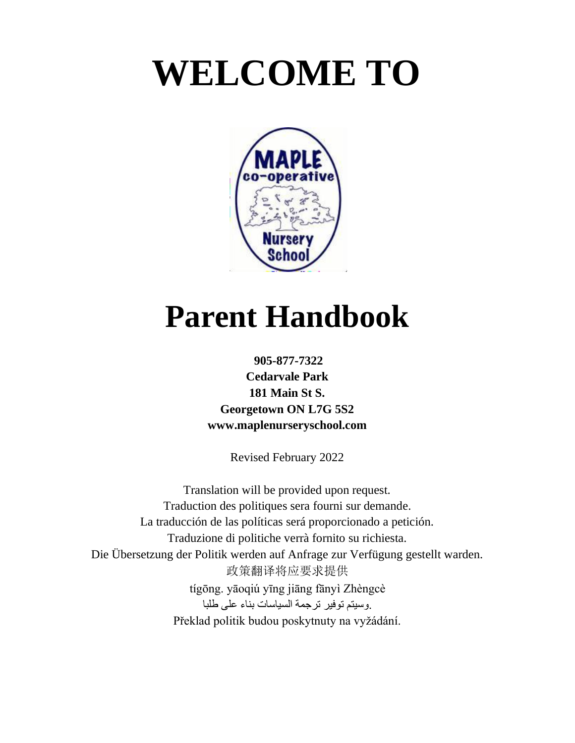# **WELCOME TO**



# **Parent Handbook**

## **905-877-7322 Cedarvale Park 181 Main St S. Georgetown ON L7G 5S2 [www.maplenurseryschool.com](http://www.maplenurseryschool.com/)**

Revised February 2022

Translation will be provided upon request. Traduction des politiques sera fourni sur demande. La traducción de las políticas será proporcionado a petición. Traduzione di politiche verrà fornito su richiesta. Die Übersetzung der Politik werden auf Anfrage zur Verfügung gestellt warden. 政策翻译将应要求提供 tígōng. yāoqiú yīng jiāng fānyì Zhèngcè .وسيتم توفير ترجمة السياسات بناء على طلبا Překlad politik budou poskytnuty na vyžádání.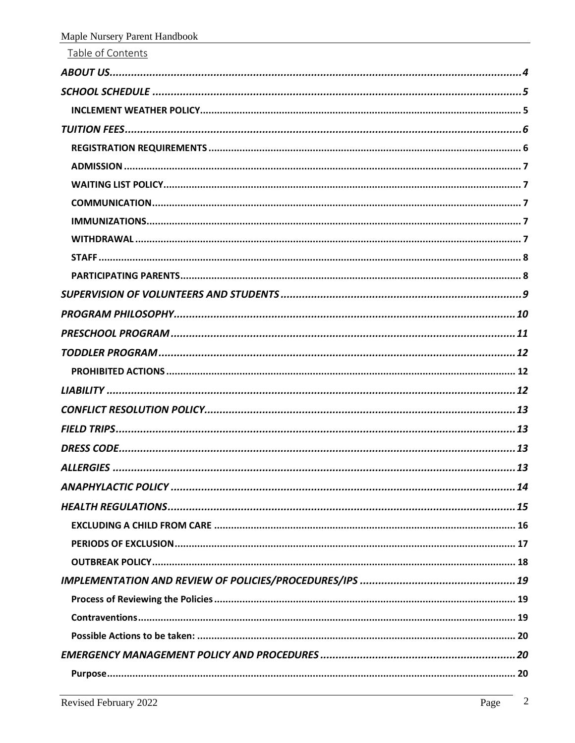| Table of Contents |
|-------------------|
|                   |
|                   |
|                   |
|                   |
|                   |
|                   |
|                   |
|                   |
|                   |
|                   |
|                   |
|                   |
|                   |
|                   |
|                   |
|                   |
|                   |
|                   |
|                   |
|                   |
|                   |
|                   |
|                   |
|                   |
|                   |
|                   |
|                   |
|                   |
|                   |
|                   |
|                   |
|                   |
|                   |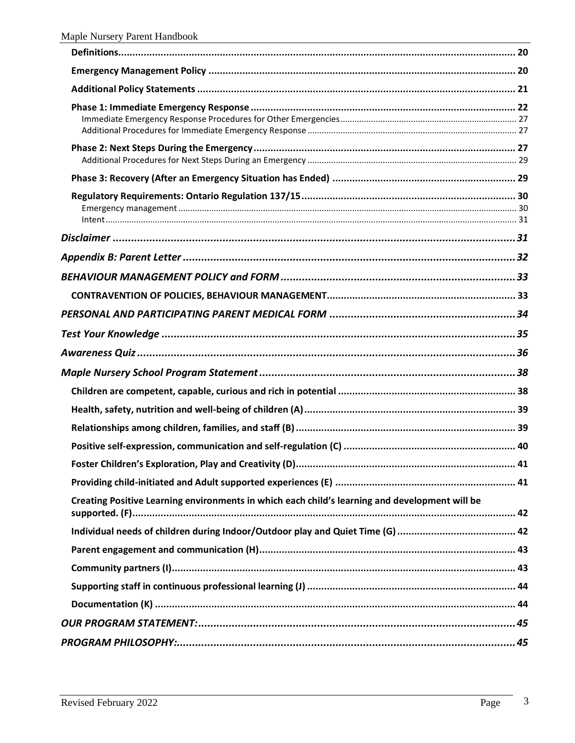| Creating Positive Learning environments in which each child's learning and development will be |
|------------------------------------------------------------------------------------------------|
|                                                                                                |
|                                                                                                |
|                                                                                                |
|                                                                                                |
|                                                                                                |
|                                                                                                |
|                                                                                                |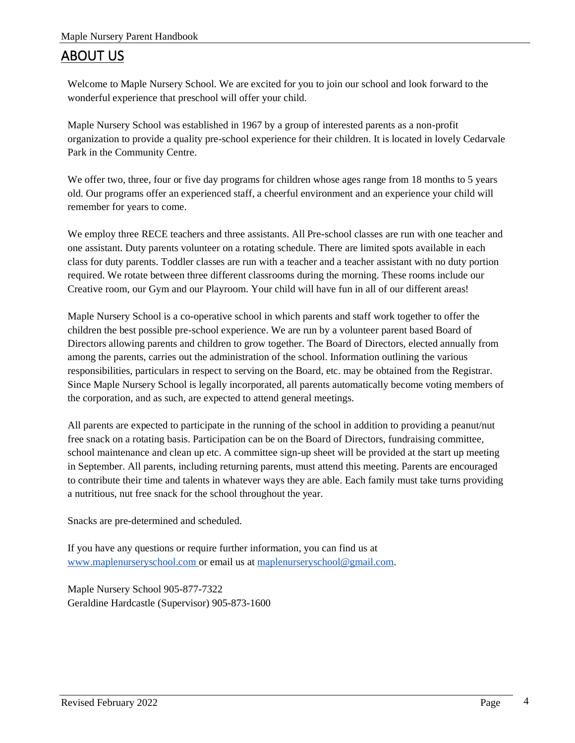## <span id="page-3-0"></span>ABOUT US

Welcome to Maple Nursery School. We are excited for you to join our school and look forward to the wonderful experience that preschool will offer your child.

Maple Nursery School was established in 1967 by a group of interested parents as a non-profit organization to provide a quality pre-school experience for their children. It is located in lovely Cedarvale Park in the Community Centre.

We offer two, three, four or five day programs for children whose ages range from 18 months to 5 years old. Our programs offer an experienced staff, a cheerful environment and an experience your child will remember for years to come.

We employ three RECE teachers and three assistants. All Pre-school classes are run with one teacher and one assistant. Duty parents volunteer on a rotating schedule. There are limited spots available in each class for duty parents. Toddler classes are run with a teacher and a teacher assistant with no duty portion required. We rotate between three different classrooms during the morning. These rooms include our Creative room, our Gym and our Playroom. Your child will have fun in all of our different areas!

Maple Nursery School is a co-operative school in which parents and staff work together to offer the children the best possible pre-school experience. We are run by a volunteer parent based Board of Directors allowing parents and children to grow together. The Board of Directors, elected annually from among the parents, carries out the administration of the school. Information outlining the various responsibilities, particulars in respect to serving on the Board, etc. may be obtained from the Registrar. Since Maple Nursery School is legally incorporated, all parents automatically become voting members of the corporation, and as such, are expected to attend general meetings.

All parents are expected to participate in the running of the school in addition to providing a peanut/nut free snack on a rotating basis. Participation can be on the Board of Directors, fundraising committee, school maintenance and clean up etc. A committee sign-up sheet will be provided at the start up meeting in September. All parents, including returning parents, must attend this meeting. Parents are encouraged to contribute their time and talents in whatever ways they are able. Each family must take turns providing a nutritious, nut free snack for the school throughout the year.

Snacks are pre-determined and scheduled.

If you have any questions or require further information, you can find us at [www.maplenurseryschool.com o](http://www.maplenurseryschool.com/)r email us at [maplenurseryschool@gmail.com.](mailto:maplenurseryschool@gmail.com)

Maple Nursery School 905-877-7322 Geraldine Hardcastle (Supervisor) 905-873-1600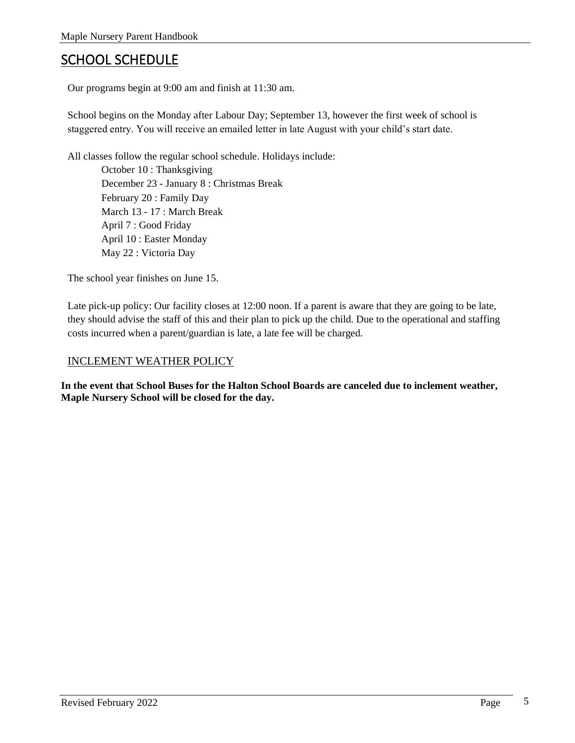## <span id="page-4-0"></span>SCHOOL SCHEDULE

Our programs begin at 9:00 am and finish at 11:30 am.

School begins on the Monday after Labour Day; September 13, however the first week of school is staggered entry. You will receive an emailed letter in late August with your child's start date.

All classes follow the regular school schedule. Holidays include:

October 10 : Thanksgiving December 23 - January 8 : Christmas Break February 20 : Family Day March 13 - 17 : March Break April 7 : Good Friday April 10 : Easter Monday May 22 : Victoria Day

The school year finishes on June 15.

Late pick-up policy: Our facility closes at 12:00 noon. If a parent is aware that they are going to be late, they should advise the staff of this and their plan to pick up the child. Due to the operational and staffing costs incurred when a parent/guardian is late, a late fee will be charged.

#### <span id="page-4-1"></span>INCLEMENT WEATHER POLICY

**In the event that School Buses for the Halton School Boards are canceled due to inclement weather, Maple Nursery School will be closed for the day.**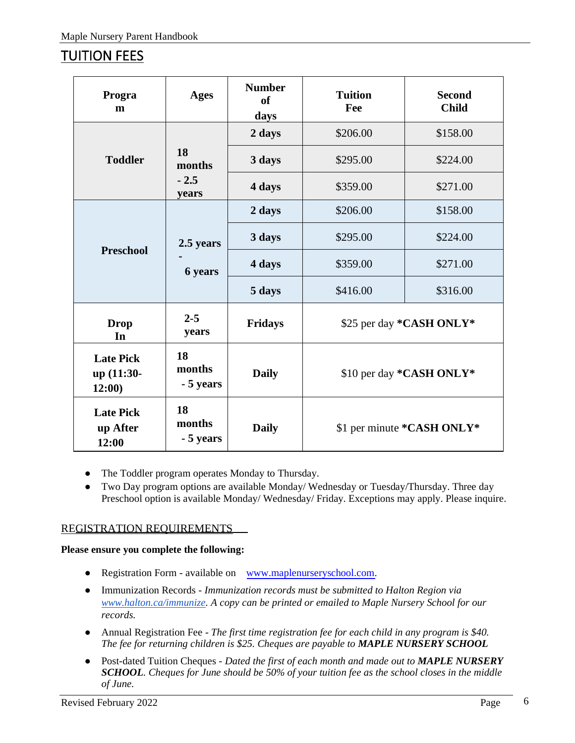# <span id="page-5-0"></span>TUITION FEES

| Progra<br>m                              | <b>Ages</b>               | <b>Number</b><br><sub>of</sub><br>days | <b>Tuition</b><br>Fee      | <b>Second</b><br><b>Child</b> |
|------------------------------------------|---------------------------|----------------------------------------|----------------------------|-------------------------------|
|                                          |                           | 2 days                                 | \$206.00                   | \$158.00                      |
| <b>Toddler</b>                           | 18<br>months              | 3 days                                 | \$295.00                   | \$224.00                      |
|                                          | $-2.5$<br>years           | 4 days                                 | \$359.00                   | \$271.00                      |
|                                          |                           | 2 days                                 | \$206.00                   | \$158.00                      |
| 2.5 years<br><b>Preschool</b><br>6 years |                           | 3 days                                 | \$295.00                   | \$224.00                      |
|                                          |                           | 4 days                                 | \$359.00                   | \$271.00                      |
|                                          |                           | 5 days                                 | \$416.00                   | \$316.00                      |
| <b>Drop</b><br>In                        | $2 - 5$<br>years          | <b>Fridays</b>                         | \$25 per day *CASH ONLY*   |                               |
| <b>Late Pick</b><br>up (11:30-<br>12:00) | 18<br>months<br>- 5 years | <b>Daily</b>                           | \$10 per day *CASH ONLY*   |                               |
| <b>Late Pick</b><br>up After<br>12:00    | 18<br>months<br>- 5 years | <b>Daily</b>                           | \$1 per minute *CASH ONLY* |                               |

- The Toddler program operates Monday to Thursday.
- Two Day program options are available Monday/ Wednesday or Tuesday/Thursday. Three day Preschool option is available Monday/ Wednesday/ Friday. Exceptions may apply. Please inquire.

## <span id="page-5-1"></span>REGISTRATION REQUIREMENTS

## **Please ensure you complete the following:**

- Registration Form available on [www.maplenurseryschool.com](http://www.maplenurseryschool.com/)[.](mailto:maplenurseryschool@gmail.com)
- Immunization Records *Immunization records must be submitted to Halton Region via [www.halton.ca/immunize.](http://www.halton.ca/immunize) A copy can be printed or emailed to Maple Nursery School for our records.*
- Annual Registration Fee *The first time registration fee for each child in any program is \$40. The fee for returning children is \$25. Cheques are payable to MAPLE NURSERY SCHOOL*
- Post-dated Tuition Cheques *Dated the first of each month and made out to MAPLE NURSERY SCHOOL. Cheques for June should be 50% of your tuition fee as the school closes in the middle of June.*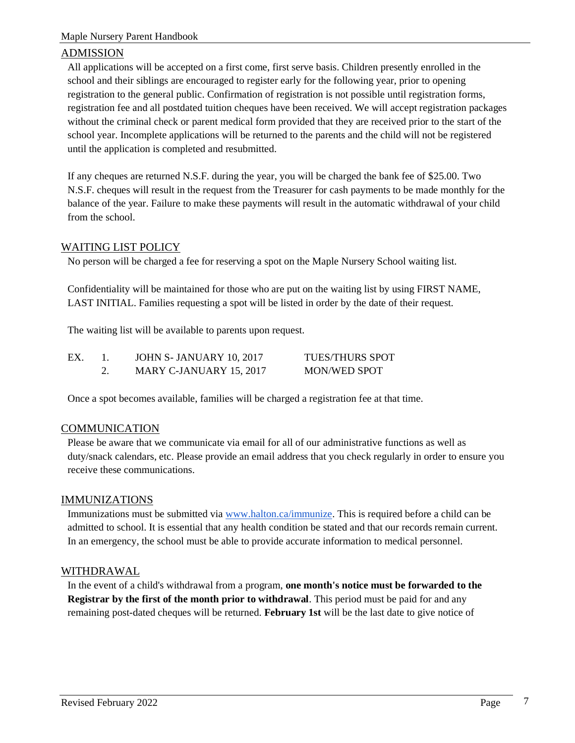## <span id="page-6-0"></span>ADMISSION

All applications will be accepted on a first come, first serve basis. Children presently enrolled in the school and their siblings are encouraged to register early for the following year, prior to opening registration to the general public. Confirmation of registration is not possible until registration forms, registration fee and all postdated tuition cheques have been received. We will accept registration packages without the criminal check or parent medical form provided that they are received prior to the start of the school year. Incomplete applications will be returned to the parents and the child will not be registered until the application is completed and resubmitted.

If any cheques are returned N.S.F. during the year, you will be charged the bank fee of \$25.00. Two N.S.F. cheques will result in the request from the Treasurer for cash payments to be made monthly for the balance of the year. Failure to make these payments will result in the automatic withdrawal of your child from the school.

## <span id="page-6-1"></span>WAITING LIST POLICY

No person will be charged a fee for reserving a spot on the Maple Nursery School waiting list.

Confidentiality will be maintained for those who are put on the waiting list by using FIRST NAME, LAST INITIAL. Families requesting a spot will be listed in order by the date of their request.

The waiting list will be available to parents upon request.

| EX. | JOHN S- JANUARY 10, 2017 | <b>TUES/THURS SPOT</b> |
|-----|--------------------------|------------------------|
|     | MARY C-JANUARY 15, 2017  | MON/WED SPOT           |

Once a spot becomes available, families will be charged a registration fee at that time.

## <span id="page-6-2"></span>COMMUNICATION

Please be aware that we communicate via email for all of our administrative functions as well as duty/snack calendars, etc. Please provide an email address that you check regularly in order to ensure you receive these communications.

## <span id="page-6-3"></span>IMMUNIZATIONS

Immunizations must be submitted via [www.halton.ca/immunize.](http://www.halton.ca/immunize) This is required before a child can be admitted to school. It is essential that any health condition be stated and that our records remain current. In an emergency, the school must be able to provide accurate information to medical personnel.

## <span id="page-6-4"></span>WITHDRAWAL

In the event of a child's withdrawal from a program, **one month's notice must be forwarded to the Registrar by the first of the month prior to withdrawal**. This period must be paid for and any remaining post-dated cheques will be returned. **February 1st** will be the last date to give notice of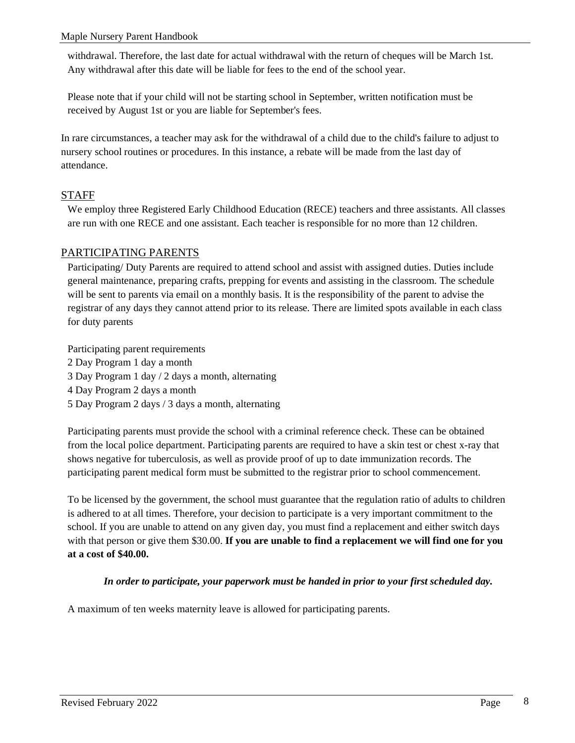withdrawal. Therefore, the last date for actual withdrawal with the return of cheques will be March 1st. Any withdrawal after this date will be liable for fees to the end of the school year.

Please note that if your child will not be starting school in September, written notification must be received by August 1st or you are liable for September's fees.

In rare circumstances, a teacher may ask for the withdrawal of a child due to the child's failure to adjust to nursery school routines or procedures. In this instance, a rebate will be made from the last day of attendance.

## <span id="page-7-0"></span>STAFF

We employ three Registered Early Childhood Education (RECE) teachers and three assistants. All classes are run with one RECE and one assistant. Each teacher is responsible for no more than 12 children.

## <span id="page-7-1"></span>PARTICIPATING PARENTS

Participating/ Duty Parents are required to attend school and assist with assigned duties. Duties include general maintenance, preparing crafts, prepping for events and assisting in the classroom. The schedule will be sent to parents via email on a monthly basis. It is the responsibility of the parent to advise the registrar of any days they cannot attend prior to its release. There are limited spots available in each class for duty parents

Participating parent requirements 2 Day Program 1 day a month

- 3 Day Program 1 day / 2 days a month, alternating
- 4 Day Program 2 days a month
- 5 Day Program 2 days / 3 days a month, alternating

Participating parents must provide the school with a criminal reference check. These can be obtained from the local police department. Participating parents are required to have a skin test or chest x-ray that shows negative for tuberculosis, as well as provide proof of up to date immunization records. The participating parent medical form must be submitted to the registrar prior to school commencement.

To be licensed by the government, the school must guarantee that the regulation ratio of adults to children is adhered to at all times. Therefore, your decision to participate is a very important commitment to the school. If you are unable to attend on any given day, you must find a replacement and either switch days with that person or give them \$30.00. **If you are unable to find a replacement we will find one for you at a cost of \$40.00.**

## *In order to participate, your paperwork must be handed in prior to your first scheduled day.*

A maximum of ten weeks maternity leave is allowed for participating parents.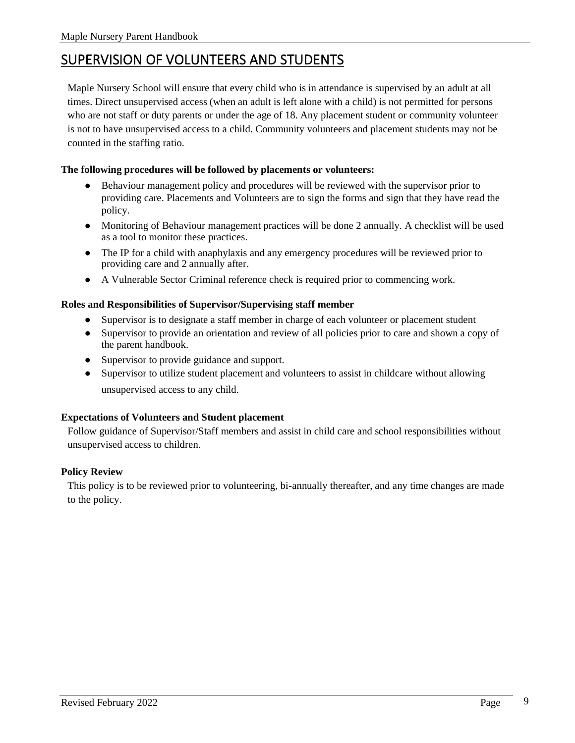## <span id="page-8-0"></span>SUPERVISION OF VOLUNTEERS AND STUDENTS

Maple Nursery School will ensure that every child who is in attendance is supervised by an adult at all times. Direct unsupervised access (when an adult is left alone with a child) is not permitted for persons who are not staff or duty parents or under the age of 18. Any placement student or community volunteer is not to have unsupervised access to a child. Community volunteers and placement students may not be counted in the staffing ratio.

#### **The following procedures will be followed by placements or volunteers:**

- Behaviour management policy and procedures will be reviewed with the supervisor prior to providing care. Placements and Volunteers are to sign the forms and sign that they have read the policy.
- Monitoring of Behaviour management practices will be done 2 annually. A checklist will be used as a tool to monitor these practices.
- The IP for a child with anaphylaxis and any emergency procedures will be reviewed prior to providing care and 2 annually after.
- A Vulnerable Sector Criminal reference check is required prior to commencing work.

#### **Roles and Responsibilities of Supervisor/Supervising staff member**

- Supervisor is to designate a staff member in charge of each volunteer or placement student
- Supervisor to provide an orientation and review of all policies prior to care and shown a copy of the parent handbook.
- Supervisor to provide guidance and support.
- Supervisor to utilize student placement and volunteers to assist in childcare without allowing unsupervised access to any child.

#### **Expectations of Volunteers and Student placement**

Follow guidance of Supervisor/Staff members and assist in child care and school responsibilities without unsupervised access to children.

## **Policy Review**

This policy is to be reviewed prior to volunteering, bi-annually thereafter, and any time changes are made to the policy.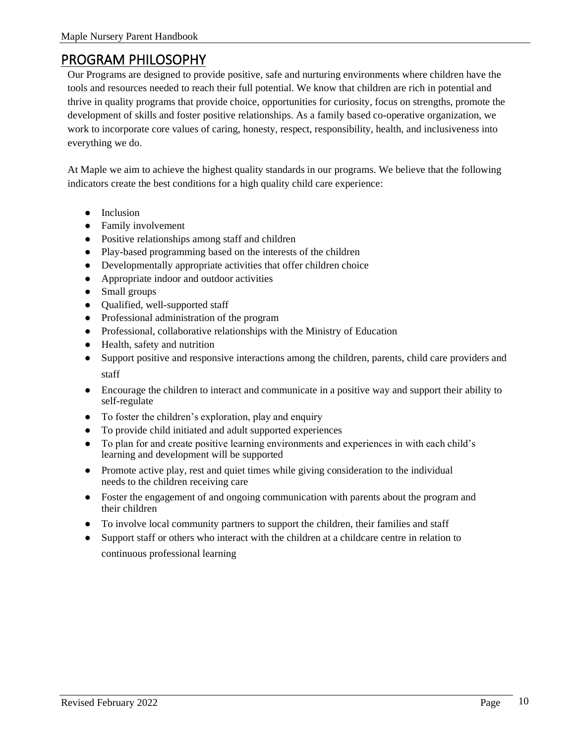## <span id="page-9-0"></span>PROGRAM PHILOSOPHY

Our Programs are designed to provide positive, safe and nurturing environments where children have the tools and resources needed to reach their full potential. We know that children are rich in potential and thrive in quality programs that provide choice, opportunities for curiosity, focus on strengths, promote the development of skills and foster positive relationships. As a family based co-operative organization, we work to incorporate core values of caring, honesty, respect, responsibility, health, and inclusiveness into everything we do.

At Maple we aim to achieve the highest quality standards in our programs. We believe that the following indicators create the best conditions for a high quality child care experience:

- Inclusion
- Family involvement
- Positive relationships among staff and children
- Play-based programming based on the interests of the children
- Developmentally appropriate activities that offer children choice
- Appropriate indoor and outdoor activities
- Small groups
- Qualified, well-supported staff
- Professional administration of the program
- Professional, collaborative relationships with the Ministry of Education
- Health, safety and nutrition
- Support positive and responsive interactions among the children, parents, child care providers and staff
- Encourage the children to interact and communicate in a positive way and support their ability to self-regulate
- To foster the children's exploration, play and enquiry
- To provide child initiated and adult supported experiences
- To plan for and create positive learning environments and experiences in with each child's learning and development will be supported
- Promote active play, rest and quiet times while giving consideration to the individual needs to the children receiving care
- Foster the engagement of and ongoing communication with parents about the program and their children
- To involve local community partners to support the children, their families and staff
- Support staff or others who interact with the children at a childcare centre in relation to continuous professional learning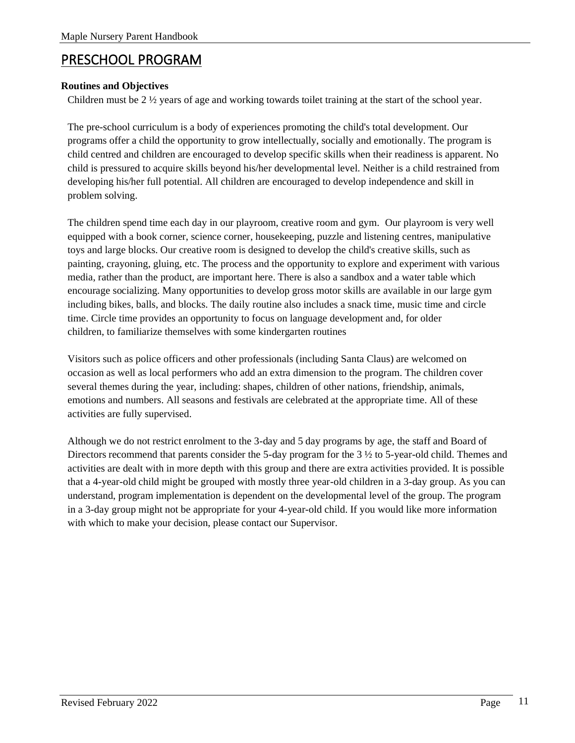## <span id="page-10-0"></span>PRESCHOOL PROGRAM

## **Routines and Objectives**

Children must be  $2 \frac{1}{2}$  years of age and working towards toilet training at the start of the school year.

The pre-school curriculum is a body of experiences promoting the child's total development. Our programs offer a child the opportunity to grow intellectually, socially and emotionally. The program is child centred and children are encouraged to develop specific skills when their readiness is apparent. No child is pressured to acquire skills beyond his/her developmental level. Neither is a child restrained from developing his/her full potential. All children are encouraged to develop independence and skill in problem solving.

The children spend time each day in our playroom, creative room and gym. Our playroom is very well equipped with a book corner, science corner, housekeeping, puzzle and listening centres, manipulative toys and large blocks. Our creative room is designed to develop the child's creative skills, such as painting, crayoning, gluing, etc. The process and the opportunity to explore and experiment with various media, rather than the product, are important here. There is also a sandbox and a water table which encourage socializing. Many opportunities to develop gross motor skills are available in our large gym including bikes, balls, and blocks. The daily routine also includes a snack time, music time and circle time. Circle time provides an opportunity to focus on language development and, for older children, to familiarize themselves with some kindergarten routines

Visitors such as police officers and other professionals (including Santa Claus) are welcomed on occasion as well as local performers who add an extra dimension to the program. The children cover several themes during the year, including: shapes, children of other nations, friendship, animals, emotions and numbers. All seasons and festivals are celebrated at the appropriate time. All of these activities are fully supervised.

Although we do not restrict enrolment to the 3-day and 5 day programs by age, the staff and Board of Directors recommend that parents consider the 5-day program for the 3 ½ to 5-year-old child. Themes and activities are dealt with in more depth with this group and there are extra activities provided. It is possible that a 4-year-old child might be grouped with mostly three year-old children in a 3-day group. As you can understand, program implementation is dependent on the developmental level of the group. The program in a 3-day group might not be appropriate for your 4-year-old child. If you would like more information with which to make your decision, please contact our Supervisor.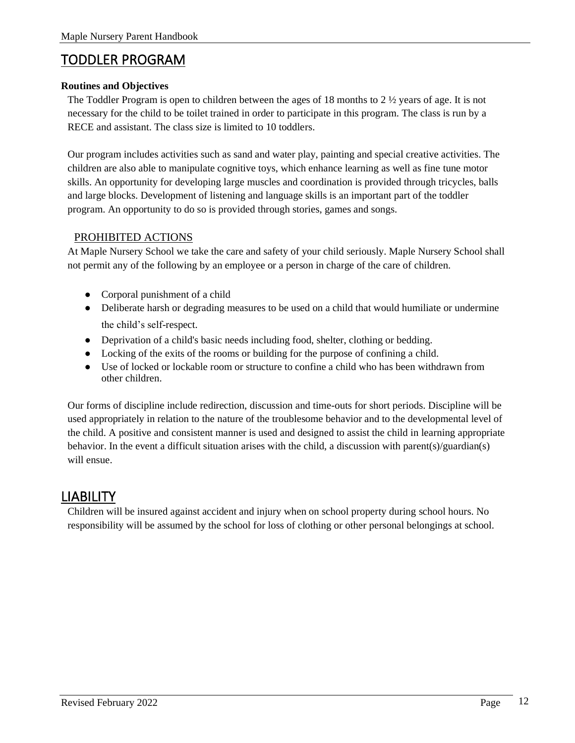## <span id="page-11-0"></span>TODDLER PROGRAM

## **Routines and Objectives**

The Toddler Program is open to children between the ages of 18 months to  $2\frac{1}{2}$  years of age. It is not necessary for the child to be toilet trained in order to participate in this program. The class is run by a RECE and assistant. The class size is limited to 10 toddlers.

Our program includes activities such as sand and water play, painting and special creative activities. The children are also able to manipulate cognitive toys, which enhance learning as well as fine tune motor skills. An opportunity for developing large muscles and coordination is provided through tricycles, balls and large blocks. Development of listening and language skills is an important part of the toddler program. An opportunity to do so is provided through stories, games and songs.

## <span id="page-11-1"></span>PROHIBITED ACTIONS

At Maple Nursery School we take the care and safety of your child seriously. Maple Nursery School shall not permit any of the following by an employee or a person in charge of the care of children.

- Corporal punishment of a child
- Deliberate harsh or degrading measures to be used on a child that would humiliate or undermine the child's self-respect.
- Deprivation of a child's basic needs including food, shelter, clothing or bedding.
- Locking of the exits of the rooms or building for the purpose of confining a child.
- Use of locked or lockable room or structure to confine a child who has been withdrawn from other children.

Our forms of discipline include redirection, discussion and time-outs for short periods. Discipline will be used appropriately in relation to the nature of the troublesome behavior and to the developmental level of the child. A positive and consistent manner is used and designed to assist the child in learning appropriate behavior. In the event a difficult situation arises with the child, a discussion with parent(s)/guardian(s) will ensue.

## <span id="page-11-2"></span>LIABILITY

Children will be insured against accident and injury when on school property during school hours. No responsibility will be assumed by the school for loss of clothing or other personal belongings at school.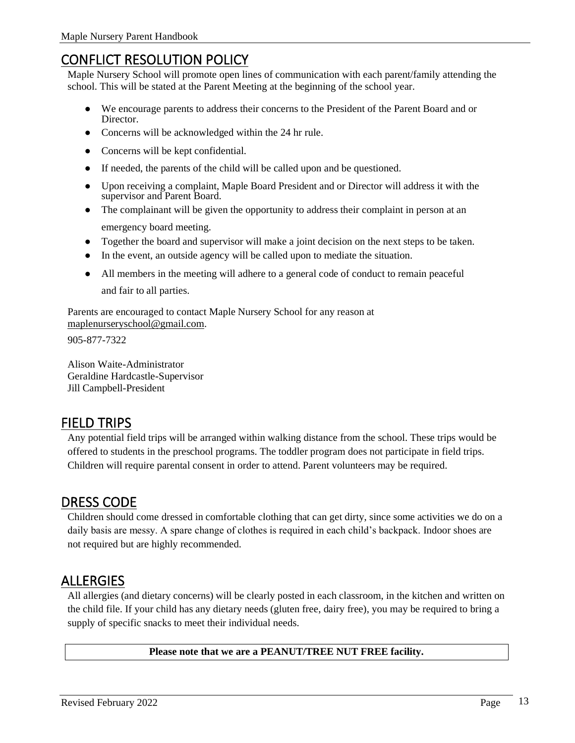## <span id="page-12-0"></span>CONFLICT RESOLUTION POLICY

Maple Nursery School will promote open lines of communication with each parent/family attending the school. This will be stated at the Parent Meeting at the beginning of the school year.

- We encourage parents to address their concerns to the President of the Parent Board and or Director.
- Concerns will be acknowledged within the 24 hr rule.
- Concerns will be kept confidential.
- If needed, the parents of the child will be called upon and be questioned.
- Upon receiving a complaint, Maple Board President and or Director will address it with the supervisor and Parent Board.
- The complainant will be given the opportunity to address their complaint in person at an emergency board meeting.
- Together the board and supervisor will make a joint decision on the next steps to be taken.
- In the event, an outside agency will be called upon to mediate the situation.
- All members in the meeting will adhere to a general code of conduct to remain peaceful and fair to all parties.

Parents are encouraged to contact Maple Nursery School for any reason at [maplenurseryschool@gmail.com.](mailto:maplenurseryschool@gmail.com)

905-877-7322

Alison Waite-Administrator Geraldine Hardcastle-Supervisor Jill Campbell-President

## <span id="page-12-1"></span>FIELD TRIPS

Any potential field trips will be arranged within walking distance from the school. These trips would be offered to students in the preschool programs. The toddler program does not participate in field trips. Children will require parental consent in order to attend. Parent volunteers may be required.

## <span id="page-12-2"></span>DRESS CODE

Children should come dressed in comfortable clothing that can get dirty, since some activities we do on a daily basis are messy. A spare change of clothes is required in each child's backpack. Indoor shoes are not required but are highly recommended.

## <span id="page-12-3"></span>ALLERGIES

All allergies (and dietary concerns) will be clearly posted in each classroom, in the kitchen and written on the child file. If your child has any dietary needs (gluten free, dairy free), you may be required to bring a supply of specific snacks to meet their individual needs.

**Please note that we are a PEANUT/TREE NUT FREE facility.**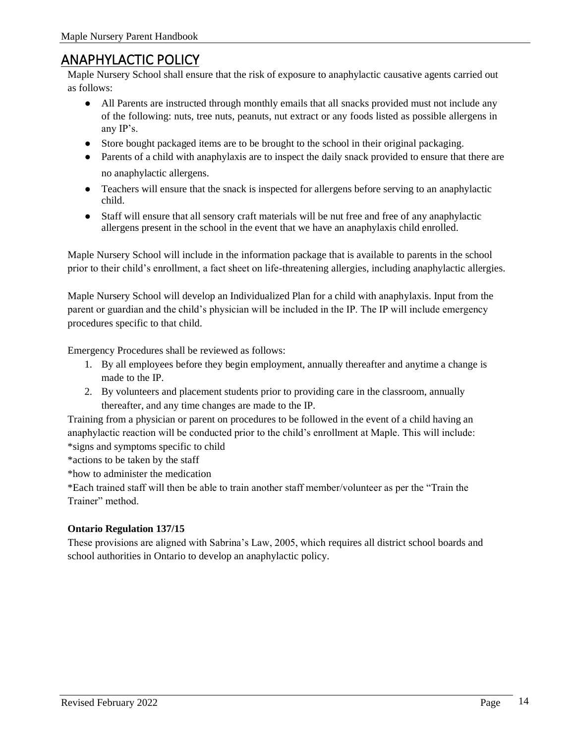## <span id="page-13-0"></span>ANAPHYLACTIC POLICY

Maple Nursery School shall ensure that the risk of exposure to anaphylactic causative agents carried out as follows:

- All Parents are instructed through monthly emails that all snacks provided must not include any of the following: nuts, tree nuts, peanuts, nut extract or any foods listed as possible allergens in any IP's.
- Store bought packaged items are to be brought to the school in their original packaging.
- Parents of a child with anaphylaxis are to inspect the daily snack provided to ensure that there are no anaphylactic allergens.
- Teachers will ensure that the snack is inspected for allergens before serving to an anaphylactic child.
- Staff will ensure that all sensory craft materials will be nut free and free of any anaphylactic allergens present in the school in the event that we have an anaphylaxis child enrolled.

Maple Nursery School will include in the information package that is available to parents in the school prior to their child's enrollment, a fact sheet on life-threatening allergies, including anaphylactic allergies.

Maple Nursery School will develop an Individualized Plan for a child with anaphylaxis. Input from the parent or guardian and the child's physician will be included in the IP. The IP will include emergency procedures specific to that child.

Emergency Procedures shall be reviewed as follows:

- 1. By all employees before they begin employment, annually thereafter and anytime a change is made to the IP.
- 2. By volunteers and placement students prior to providing care in the classroom, annually thereafter, and any time changes are made to the IP.

Training from a physician or parent on procedures to be followed in the event of a child having an anaphylactic reaction will be conducted prior to the child's enrollment at Maple. This will include: \*signs and symptoms specific to child

\*actions to be taken by the staff

\*how to administer the medication

\*Each trained staff will then be able to train another staff member/volunteer as per the "Train the Trainer" method.

## **Ontario Regulation 137/15**

These provisions are aligned with Sabrina's Law, 2005, which requires all district school boards and school authorities in Ontario to develop an anaphylactic policy.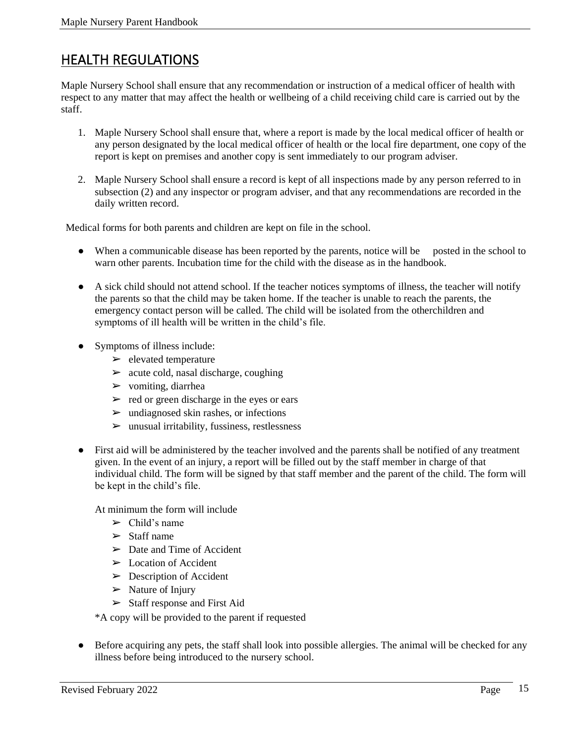## <span id="page-14-0"></span>HEALTH REGULATIONS

Maple Nursery School shall ensure that any recommendation or instruction of a medical officer of health with respect to any matter that may affect the health or wellbeing of a child receiving child care is carried out by the staff.

- 1. Maple Nursery School shall ensure that, where a report is made by the local medical officer of health or any person designated by the local medical officer of health or the local fire department, one copy of the report is kept on premises and another copy is sent immediately to our program adviser.
- 2. Maple Nursery School shall ensure a record is kept of all inspections made by any person referred to in subsection (2) and any inspector or program adviser, and that any recommendations are recorded in the daily written record.

Medical forms for both parents and children are kept on file in the school.

- When a communicable disease has been reported by the parents, notice will be posted in the school to warn other parents. Incubation time for the child with the disease as in the handbook.
- A sick child should not attend school. If the teacher notices symptoms of illness, the teacher will notify the parents so that the child may be taken home. If the teacher is unable to reach the parents, the emergency contact person will be called. The child will be isolated from the otherchildren and symptoms of ill health will be written in the child's file.
- Symptoms of illness include:
	- $\blacktriangleright$  elevated temperature
	- $\geq$  acute cold, nasal discharge, coughing
	- $\triangleright$  vomiting, diarrhea
	- $\triangleright$  red or green discharge in the eyes or ears
	- $\triangleright$  undiagnosed skin rashes, or infections
	- $\triangleright$  unusual irritability, fussiness, restlessness
- First aid will be administered by the teacher involved and the parents shall be notified of any treatment given. In the event of an injury, a report will be filled out by the staff member in charge of that individual child. The form will be signed by that staff member and the parent of the child. The form will be kept in the child's file.

At minimum the form will include

- $\triangleright$  Child's name
- $>$  Staff name
- $\triangleright$  Date and Time of Accident
- $\triangleright$  Location of Accident
- $\triangleright$  Description of Accident
- $\triangleright$  Nature of Injury
- ➢ Staff response and First Aid

\*A copy will be provided to the parent if requested

● Before acquiring any pets, the staff shall look into possible allergies. The animal will be checked for any illness before being introduced to the nursery school.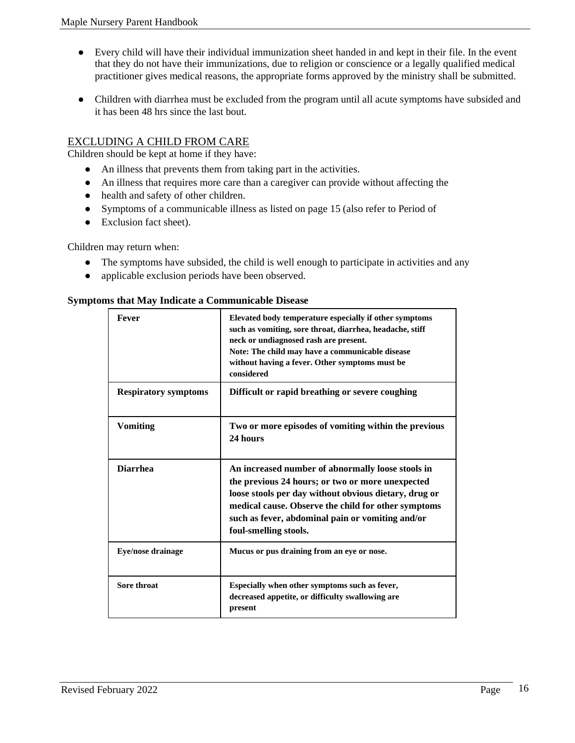- Every child will have their individual immunization sheet handed in and kept in their file. In the event that they do not have their immunizations, due to religion or conscience or a legally qualified medical practitioner gives medical reasons, the appropriate forms approved by the ministry shall be submitted.
- Children with diarrhea must be excluded from the program until all acute symptoms have subsided and it has been 48 hrs since the last bout.

## <span id="page-15-0"></span>EXCLUDING A CHILD FROM CARE

Children should be kept at home if they have:

- An illness that prevents them from taking part in the activities.
- An illness that requires more care than a caregiver can provide without affecting the
- health and safety of other children.
- Symptoms of a communicable illness as listed on page 15 (also refer to Period of
- Exclusion fact sheet).

Children may return when:

- The symptoms have subsided, the child is well enough to participate in activities and any
- applicable exclusion periods have been observed.

#### **Symptoms that May Indicate a Communicable Disease**

| Fever                       | Elevated body temperature especially if other symptoms<br>such as vomiting, sore throat, diarrhea, headache, stiff<br>neck or undiagnosed rash are present.<br>Note: The child may have a communicable disease<br>without having a fever. Other symptoms must be<br>considered                     |
|-----------------------------|----------------------------------------------------------------------------------------------------------------------------------------------------------------------------------------------------------------------------------------------------------------------------------------------------|
| <b>Respiratory symptoms</b> | Difficult or rapid breathing or severe coughing                                                                                                                                                                                                                                                    |
| <b>Vomiting</b>             | Two or more episodes of vomiting within the previous<br>24 hours                                                                                                                                                                                                                                   |
| <b>Diarrhea</b>             | An increased number of abnormally loose stools in<br>the previous 24 hours; or two or more unexpected<br>loose stools per day without obvious dietary, drug or<br>medical cause. Observe the child for other symptoms<br>such as fever, abdominal pain or vomiting and/or<br>foul-smelling stools. |
| Eye/nose drainage           | Mucus or pus draining from an eye or nose.                                                                                                                                                                                                                                                         |
| Sore throat                 | Especially when other symptoms such as fever,<br>decreased appetite, or difficulty swallowing are<br>present                                                                                                                                                                                       |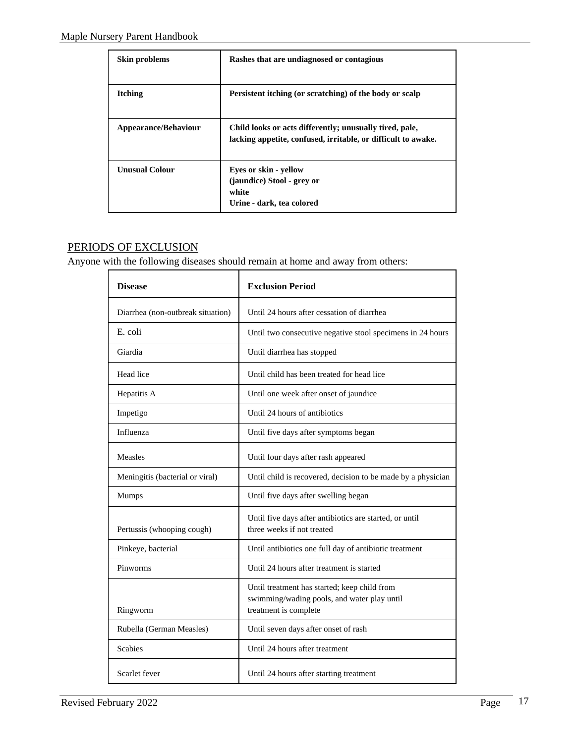| Skin problems               | Rashes that are undiagnosed or contagious                                                                                |
|-----------------------------|--------------------------------------------------------------------------------------------------------------------------|
| <b>Itching</b>              | Persistent itching (or scratching) of the body or scalp                                                                  |
| <b>Appearance/Behaviour</b> | Child looks or acts differently; unusually tired, pale,<br>lacking appetite, confused, irritable, or difficult to awake. |
| <b>Unusual Colour</b>       | Eyes or skin - yellow<br>(jaundice) Stool - grey or<br>white<br>Urine - dark, tea colored                                |

## <span id="page-16-0"></span>PERIODS OF EXCLUSION

Anyone with the following diseases should remain at home and away from others:

| <b>Disease</b>                    | <b>Exclusion Period</b>                                                                                              |
|-----------------------------------|----------------------------------------------------------------------------------------------------------------------|
| Diarrhea (non-outbreak situation) | Until 24 hours after cessation of diarrhea                                                                           |
| E. coli                           | Until two consecutive negative stool specimens in 24 hours                                                           |
| Giardia                           | Until diarrhea has stopped                                                                                           |
| Head lice                         | Until child has been treated for head lice                                                                           |
| Hepatitis A                       | Until one week after onset of jaundice                                                                               |
| Impetigo                          | Until 24 hours of antibiotics                                                                                        |
| Influenza                         | Until five days after symptoms began                                                                                 |
| Measles                           | Until four days after rash appeared                                                                                  |
| Meningitis (bacterial or viral)   | Until child is recovered, decision to be made by a physician                                                         |
| <b>Mumps</b>                      | Until five days after swelling began                                                                                 |
| Pertussis (whooping cough)        | Until five days after antibiotics are started, or until<br>three weeks if not treated                                |
| Pinkeye, bacterial                | Until antibiotics one full day of antibiotic treatment                                                               |
| Pinworms                          | Until 24 hours after treatment is started                                                                            |
| Ringworm                          | Until treatment has started; keep child from<br>swimming/wading pools, and water play until<br>treatment is complete |
| Rubella (German Measles)          | Until seven days after onset of rash                                                                                 |
| <b>Scabies</b>                    | Until 24 hours after treatment                                                                                       |
| Scarlet fever                     | Until 24 hours after starting treatment                                                                              |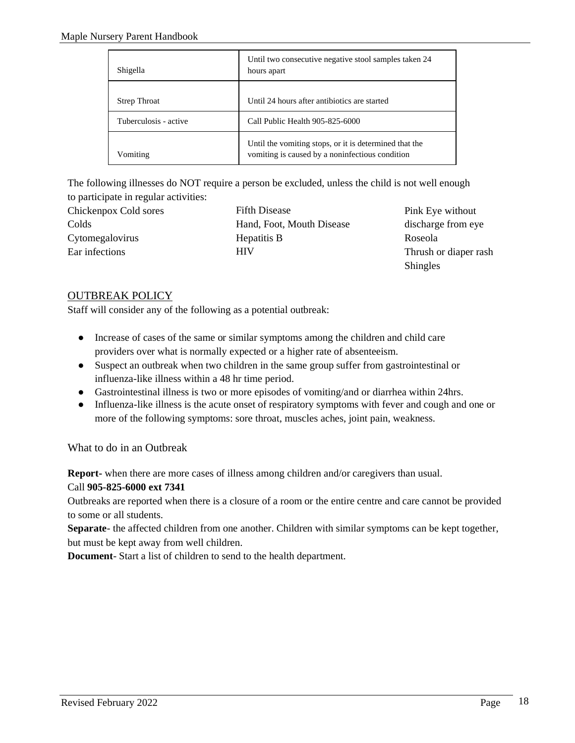| Shigella              | Until two consecutive negative stool samples taken 24<br>hours apart                                      |
|-----------------------|-----------------------------------------------------------------------------------------------------------|
| <b>Strep Throat</b>   | Until 24 hours after antibiotics are started                                                              |
| Tuberculosis - active | Call Public Health 905-825-6000                                                                           |
| Vomiting              | Until the vomiting stops, or it is determined that the<br>vomiting is caused by a noninfectious condition |

The following illnesses do NOT require a person be excluded, unless the child is not well enough to participate in regular activities:

| Chickenpox Cold sores | <b>Fifth Disease</b>      | Pink Eye without      |
|-----------------------|---------------------------|-----------------------|
| Colds                 | Hand, Foot, Mouth Disease | discharge from eye    |
| Cytomegalovirus       | Hepatitis B               | Roseola               |
| Ear infections        | HIV                       | Thrush or diaper rash |
|                       |                           | <b>Shingles</b>       |

## <span id="page-17-0"></span>OUTBREAK POLICY

Staff will consider any of the following as a potential outbreak:

- Increase of cases of the same or similar symptoms among the children and child care providers over what is normally expected or a higher rate of absenteeism.
- Suspect an outbreak when two children in the same group suffer from gastrointestinal or influenza-like illness within a 48 hr time period.
- Gastrointestinal illness is two or more episodes of vomiting/and or diarrhea within 24hrs.
- Influenza-like illness is the acute onset of respiratory symptoms with fever and cough and one or more of the following symptoms: sore throat, muscles aches, joint pain, weakness.

What to do in an Outbreak

**Report-** when there are more cases of illness among children and/or caregivers than usual.

## Call **905-825-6000 ext 7341**

Outbreaks are reported when there is a closure of a room or the entire centre and care cannot be provided to some or all students.

**Separate**- the affected children from one another. Children with similar symptoms can be kept together, but must be kept away from well children.

**Document**- Start a list of children to send to the health department.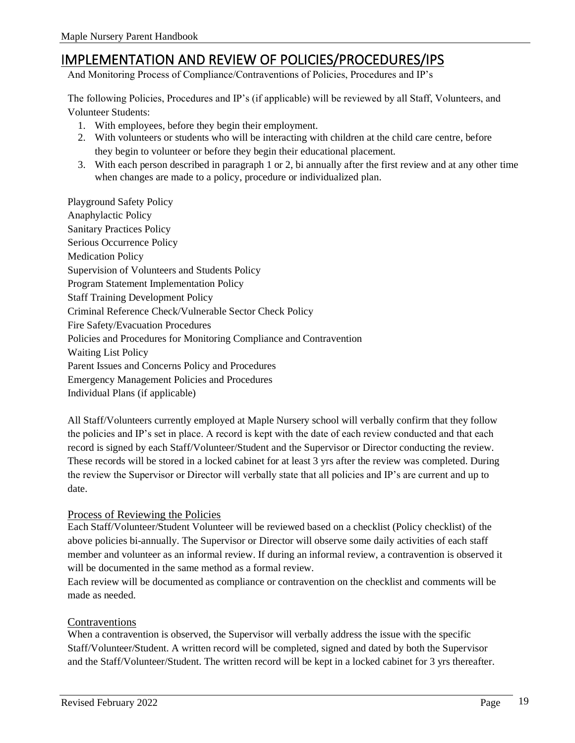## <span id="page-18-0"></span>IMPLEMENTATION AND REVIEW OF POLICIES/PROCEDURES/IPS

And Monitoring Process of Compliance/Contraventions of Policies, Procedures and IP's

The following Policies, Procedures and IP's (if applicable) will be reviewed by all Staff, Volunteers, and Volunteer Students:

- 1. With employees, before they begin their employment.
- 2. With volunteers or students who will be interacting with children at the child care centre, before they begin to volunteer or before they begin their educational placement.
- 3. With each person described in paragraph 1 or 2, bi annually after the first review and at any other time when changes are made to a policy, procedure or individualized plan.

Playground Safety Policy Anaphylactic Policy Sanitary Practices Policy Serious Occurrence Policy Medication Policy Supervision of Volunteers and Students Policy Program Statement Implementation Policy Staff Training Development Policy Criminal Reference Check/Vulnerable Sector Check Policy Fire Safety/Evacuation Procedures Policies and Procedures for Monitoring Compliance and Contravention Waiting List Policy Parent Issues and Concerns Policy and Procedures Emergency Management Policies and Procedures Individual Plans (if applicable)

All Staff/Volunteers currently employed at Maple Nursery school will verbally confirm that they follow the policies and IP's set in place. A record is kept with the date of each review conducted and that each record is signed by each Staff/Volunteer/Student and the Supervisor or Director conducting the review. These records will be stored in a locked cabinet for at least 3 yrs after the review was completed. During the review the Supervisor or Director will verbally state that all policies and IP's are current and up to date.

## <span id="page-18-1"></span>Process of Reviewing the Policies

Each Staff/Volunteer/Student Volunteer will be reviewed based on a checklist (Policy checklist) of the above policies bi-annually. The Supervisor or Director will observe some daily activities of each staff member and volunteer as an informal review. If during an informal review, a contravention is observed it will be documented in the same method as a formal review.

Each review will be documented as compliance or contravention on the checklist and comments will be made as needed.

#### <span id="page-18-2"></span>Contraventions

When a contravention is observed, the Supervisor will verbally address the issue with the specific Staff/Volunteer/Student. A written record will be completed, signed and dated by both the Supervisor and the Staff/Volunteer/Student. The written record will be kept in a locked cabinet for 3 yrs thereafter.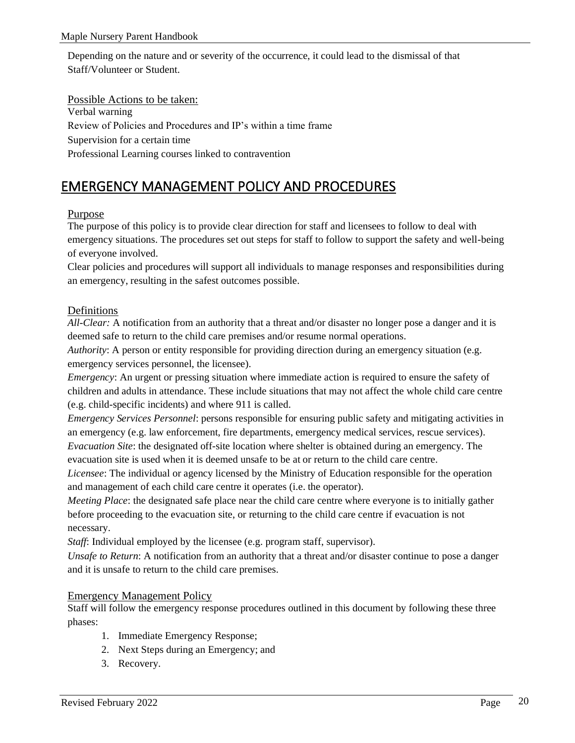Depending on the nature and or severity of the occurrence, it could lead to the dismissal of that Staff/Volunteer or Student.

<span id="page-19-0"></span>Possible Actions to be taken: Verbal warning Review of Policies and Procedures and IP's within a time frame Supervision for a certain time Professional Learning courses linked to contravention

## <span id="page-19-1"></span>EMERGENCY MANAGEMENT POLICY AND PROCEDURES

## <span id="page-19-2"></span>Purpose

The purpose of this policy is to provide clear direction for staff and licensees to follow to deal with emergency situations. The procedures set out steps for staff to follow to support the safety and well-being of everyone involved.

Clear policies and procedures will support all individuals to manage responses and responsibilities during an emergency, resulting in the safest outcomes possible.

## <span id="page-19-3"></span>Definitions

*All-Clear:* A notification from an authority that a threat and/or disaster no longer pose a danger and it is deemed safe to return to the child care premises and/or resume normal operations.

*Authority*: A person or entity responsible for providing direction during an emergency situation (e.g. emergency services personnel, the licensee).

*Emergency*: An urgent or pressing situation where immediate action is required to ensure the safety of children and adults in attendance. These include situations that may not affect the whole child care centre (e.g. child-specific incidents) and where 911 is called.

*Emergency Services Personnel*: persons responsible for ensuring public safety and mitigating activities in an emergency (e.g. law enforcement, fire departments, emergency medical services, rescue services). *Evacuation Site*: the designated off-site location where shelter is obtained during an emergency. The

evacuation site is used when it is deemed unsafe to be at or return to the child care centre.

*Licensee*: The individual or agency licensed by the Ministry of Education responsible for the operation and management of each child care centre it operates (i.e. the operator).

*Meeting Place*: the designated safe place near the child care centre where everyone is to initially gather before proceeding to the evacuation site, or returning to the child care centre if evacuation is not necessary.

*Staff*: Individual employed by the licensee (e.g. program staff, supervisor).

*Unsafe to Return*: A notification from an authority that a threat and/or disaster continue to pose a danger and it is unsafe to return to the child care premises.

## <span id="page-19-4"></span>Emergency Management Policy

Staff will follow the emergency response procedures outlined in this document by following these three phases:

- 1. Immediate Emergency Response;
- 2. Next Steps during an Emergency; and
- 3. Recovery.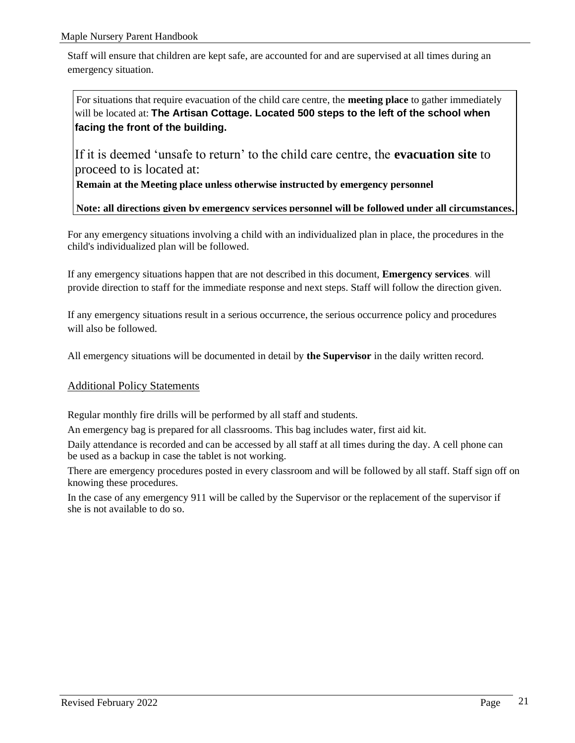Staff will ensure that children are kept safe, are accounted for and are supervised at all times during an emergency situation.

For situations that require evacuation of the child care centre, the **meeting place** to gather immediately will be located at: **The Artisan Cottage. Located 500 steps to the left of the school when facing the front of the building.**

If it is deemed 'unsafe to return' to the child care centre, the **evacuation site** to proceed to is located at:

**Remain at the Meeting place unless otherwise instructed by emergency personnel**

#### **Note: all directions given by emergency services personnel will be followed under all circumstances,**

For any emergency situations involving a child with an individualized plan in place, the procedures in the child's individualized plan will be followed.

If any emergency situations happen that are not described in this document, **Emergency services**. will provide direction to staff for the immediate response and next steps. Staff will follow the direction given.

If any emergency situations result in a serious occurrence, the serious occurrence policy and procedures will also be followed.

All emergency situations will be documented in detail by **the Supervisor** in the daily written record.

## <span id="page-20-0"></span>Additional Policy Statements

Regular monthly fire drills will be performed by all staff and students.

An emergency bag is prepared for all classrooms. This bag includes water, first aid kit.

Daily attendance is recorded and can be accessed by all staff at all times during the day. A cell phone can be used as a backup in case the tablet is not working.

There are emergency procedures posted in every classroom and will be followed by all staff. Staff sign off on knowing these procedures.

In the case of any emergency 911 will be called by the Supervisor or the replacement of the supervisor if she is not available to do so.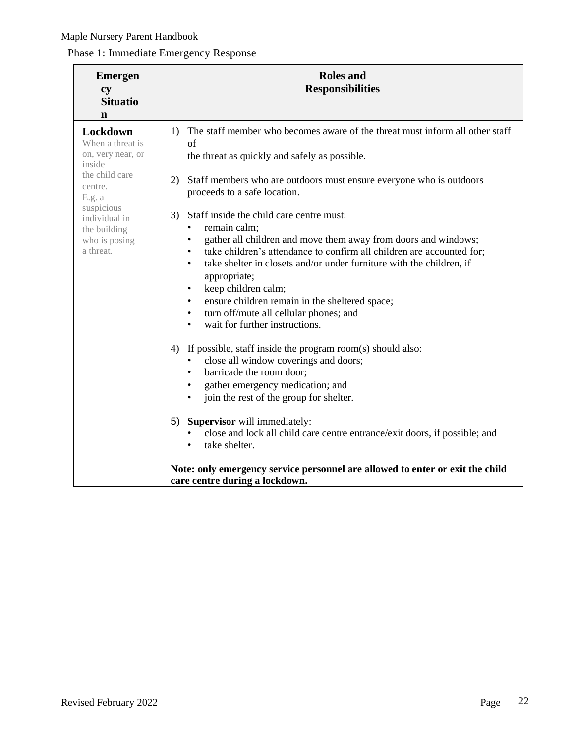## <span id="page-21-0"></span>Phase 1: Immediate Emergency Response

| <b>Emergen</b><br><b>cy</b><br><b>Situatio</b><br>n                                                                                                                             | <b>Roles</b> and<br><b>Responsibilities</b>                                                                                                                                                                                                                                                                                                                                                                                                                                                                                                                                                                                                                                                                                                                                                    |
|---------------------------------------------------------------------------------------------------------------------------------------------------------------------------------|------------------------------------------------------------------------------------------------------------------------------------------------------------------------------------------------------------------------------------------------------------------------------------------------------------------------------------------------------------------------------------------------------------------------------------------------------------------------------------------------------------------------------------------------------------------------------------------------------------------------------------------------------------------------------------------------------------------------------------------------------------------------------------------------|
| Lockdown<br>When a threat is<br>on, very near, or<br>inside<br>the child care<br>centre.<br>E.g. a<br>suspicious<br>individual in<br>the building<br>who is posing<br>a threat. | The staff member who becomes aware of the threat must inform all other staff<br>1)<br>of<br>the threat as quickly and safely as possible.<br>2)<br>Staff members who are outdoors must ensure everyone who is outdoors<br>proceeds to a safe location.<br>Staff inside the child care centre must:<br>3)<br>remain calm;<br>gather all children and move them away from doors and windows;<br>take children's attendance to confirm all children are accounted for;<br>$\bullet$<br>take shelter in closets and/or under furniture with the children, if<br>$\bullet$<br>appropriate;<br>keep children calm;<br>$\bullet$<br>ensure children remain in the sheltered space;<br>$\bullet$<br>turn off/mute all cellular phones; and<br>$\bullet$<br>wait for further instructions.<br>$\bullet$ |
|                                                                                                                                                                                 | If possible, staff inside the program room(s) should also:<br>4)<br>close all window coverings and doors;<br>barricade the room door;<br>$\bullet$<br>gather emergency medication; and<br>$\bullet$<br>join the rest of the group for shelter.<br><b>Supervisor</b> will immediately:<br>5)<br>close and lock all child care centre entrance/exit doors, if possible; and<br>take shelter.<br>$\bullet$<br>Note: only emergency service personnel are allowed to enter or exit the child                                                                                                                                                                                                                                                                                                       |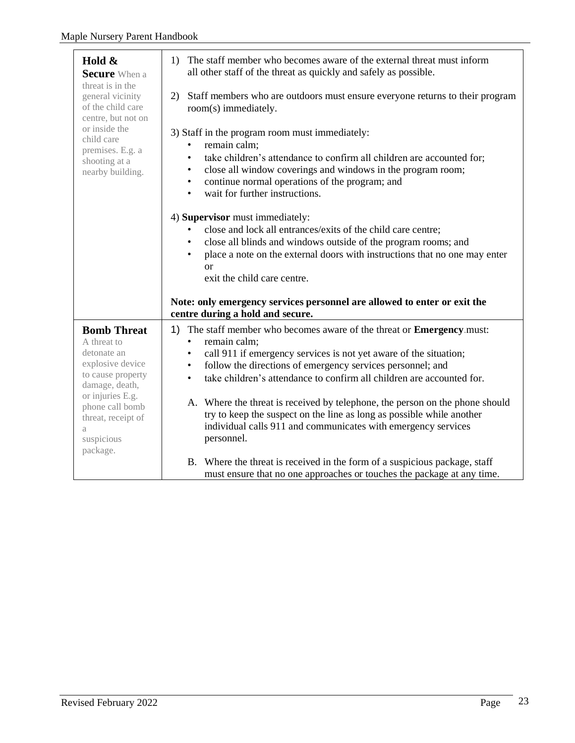| Hold &<br><b>Secure</b> When a<br>threat is in the<br>general vicinity<br>of the child care<br>centre, but not on | The staff member who becomes aware of the external threat must inform<br>1)<br>all other staff of the threat as quickly and safely as possible.                                                                                                                                                                                                             |
|-------------------------------------------------------------------------------------------------------------------|-------------------------------------------------------------------------------------------------------------------------------------------------------------------------------------------------------------------------------------------------------------------------------------------------------------------------------------------------------------|
|                                                                                                                   | Staff members who are outdoors must ensure everyone returns to their program<br>2)<br>room(s) immediately.                                                                                                                                                                                                                                                  |
| or inside the<br>child care<br>premises. E.g. a<br>shooting at a<br>nearby building.                              | 3) Staff in the program room must immediately:<br>remain calm;<br>$\bullet$<br>take children's attendance to confirm all children are accounted for;<br>$\bullet$<br>close all window coverings and windows in the program room;<br>$\bullet$<br>continue normal operations of the program; and<br>$\bullet$<br>wait for further instructions.<br>$\bullet$ |
|                                                                                                                   | 4) Supervisor must immediately:<br>close and lock all entrances/exits of the child care centre;<br>close all blinds and windows outside of the program rooms; and<br>$\bullet$<br>place a note on the external doors with instructions that no one may enter<br>$\bullet$<br><sub>or</sub><br>exit the child care centre.                                   |
|                                                                                                                   | Note: only emergency services personnel are allowed to enter or exit the<br>centre during a hold and secure.                                                                                                                                                                                                                                                |
| <b>Bomb Threat</b><br>A threat to                                                                                 | The staff member who becomes aware of the threat or Emergency.must:<br>1)<br>remain calm;<br>$\bullet$                                                                                                                                                                                                                                                      |
| detonate an<br>explosive device                                                                                   | call 911 if emergency services is not yet aware of the situation;<br>$\bullet$                                                                                                                                                                                                                                                                              |
| to cause property                                                                                                 | follow the directions of emergency services personnel; and<br>$\bullet$<br>take children's attendance to confirm all children are accounted for.<br>$\bullet$                                                                                                                                                                                               |
| damage, death,                                                                                                    |                                                                                                                                                                                                                                                                                                                                                             |
| or injuries E.g.<br>phone call bomb                                                                               | A. Where the threat is received by telephone, the person on the phone should                                                                                                                                                                                                                                                                                |
| threat, receipt of                                                                                                | try to keep the suspect on the line as long as possible while another                                                                                                                                                                                                                                                                                       |
| a<br>suspicious                                                                                                   | individual calls 911 and communicates with emergency services<br>personnel.                                                                                                                                                                                                                                                                                 |
| package.                                                                                                          |                                                                                                                                                                                                                                                                                                                                                             |
|                                                                                                                   | B. Where the threat is received in the form of a suspicious package, staff                                                                                                                                                                                                                                                                                  |
|                                                                                                                   | must ensure that no one approaches or touches the package at any time.                                                                                                                                                                                                                                                                                      |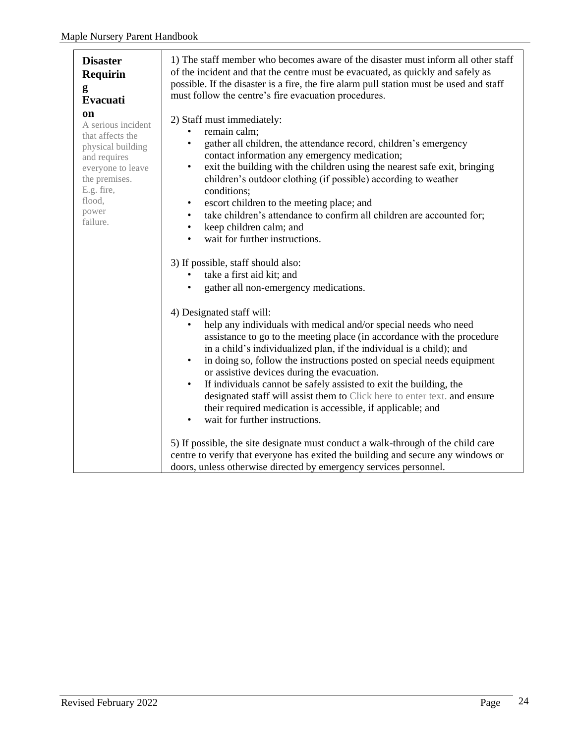| <b>Disaster</b><br><b>Requirin</b><br>g<br>Evacuati                                                                                                                         | 1) The staff member who becomes aware of the disaster must inform all other staff<br>of the incident and that the centre must be evacuated, as quickly and safely as<br>possible. If the disaster is a fire, the fire alarm pull station must be used and staff<br>must follow the centre's fire evacuation procedures.                                                                                                                                                                                                                                                                                                                                                                                                                                                                                                                                                                                                                                   |
|-----------------------------------------------------------------------------------------------------------------------------------------------------------------------------|-----------------------------------------------------------------------------------------------------------------------------------------------------------------------------------------------------------------------------------------------------------------------------------------------------------------------------------------------------------------------------------------------------------------------------------------------------------------------------------------------------------------------------------------------------------------------------------------------------------------------------------------------------------------------------------------------------------------------------------------------------------------------------------------------------------------------------------------------------------------------------------------------------------------------------------------------------------|
| <b>on</b><br>A serious incident<br>that affects the<br>physical building<br>and requires<br>everyone to leave<br>the premises.<br>E.g. fire,<br>flood,<br>power<br>failure. | 2) Staff must immediately:<br>remain calm;<br>gather all children, the attendance record, children's emergency<br>$\bullet$<br>contact information any emergency medication;<br>exit the building with the children using the nearest safe exit, bringing<br>٠<br>children's outdoor clothing (if possible) according to weather<br>conditions;<br>escort children to the meeting place; and<br>٠<br>take children's attendance to confirm all children are accounted for;<br>$\bullet$<br>keep children calm; and<br>$\bullet$<br>wait for further instructions.<br>$\bullet$<br>3) If possible, staff should also:<br>take a first aid kit; and                                                                                                                                                                                                                                                                                                         |
|                                                                                                                                                                             | gather all non-emergency medications.<br>4) Designated staff will:<br>help any individuals with medical and/or special needs who need<br>assistance to go to the meeting place (in accordance with the procedure<br>in a child's individualized plan, if the individual is a child); and<br>in doing so, follow the instructions posted on special needs equipment<br>$\bullet$<br>or assistive devices during the evacuation.<br>If individuals cannot be safely assisted to exit the building, the<br>$\bullet$<br>designated staff will assist them to Click here to enter text. and ensure<br>their required medication is accessible, if applicable; and<br>wait for further instructions.<br>$\bullet$<br>5) If possible, the site designate must conduct a walk-through of the child care<br>centre to verify that everyone has exited the building and secure any windows or<br>doors, unless otherwise directed by emergency services personnel. |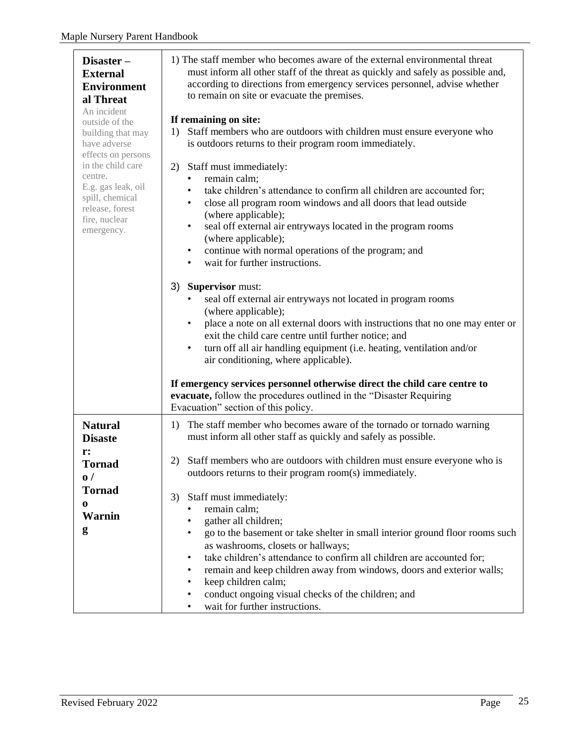| Disaster-<br><b>External</b><br><b>Environment</b><br>al Threat<br>An incident<br>outside of the<br>building that may<br>have adverse<br>effects on persons<br>in the child care<br>centre.<br>E.g. gas leak, oil<br>spill, chemical<br>release, forest<br>fire, nuclear<br>emergency. | 1) The staff member who becomes aware of the external environmental threat<br>must inform all other staff of the threat as quickly and safely as possible and,<br>according to directions from emergency services personnel, advise whether<br>to remain on site or evacuate the premises.<br>If remaining on site:<br>Staff members who are outdoors with children must ensure everyone who<br>1)<br>is outdoors returns to their program room immediately.<br>Staff must immediately:<br>2)<br>remain calm;<br>take children's attendance to confirm all children are accounted for;<br>close all program room windows and all doors that lead outside<br>٠<br>(where applicable);<br>seal off external air entryways located in the program rooms<br>$\bullet$<br>(where applicable);<br>continue with normal operations of the program; and<br>$\bullet$<br>wait for further instructions.<br>$\bullet$ |
|----------------------------------------------------------------------------------------------------------------------------------------------------------------------------------------------------------------------------------------------------------------------------------------|-------------------------------------------------------------------------------------------------------------------------------------------------------------------------------------------------------------------------------------------------------------------------------------------------------------------------------------------------------------------------------------------------------------------------------------------------------------------------------------------------------------------------------------------------------------------------------------------------------------------------------------------------------------------------------------------------------------------------------------------------------------------------------------------------------------------------------------------------------------------------------------------------------------|
|                                                                                                                                                                                                                                                                                        | <b>Supervisor must:</b><br>3)<br>seal off external air entryways not located in program rooms<br>(where applicable);<br>place a note on all external doors with instructions that no one may enter or<br>٠<br>exit the child care centre until further notice; and<br>turn off all air handling equipment (i.e. heating, ventilation and/or<br>$\bullet$<br>air conditioning, where applicable).<br>If emergency services personnel otherwise direct the child care centre to<br>evacuate, follow the procedures outlined in the "Disaster Requiring<br>Evacuation" section of this policy.                                                                                                                                                                                                                                                                                                                 |
| <b>Natural</b><br><b>Disaste</b><br>r:                                                                                                                                                                                                                                                 | The staff member who becomes aware of the tornado or tornado warning<br>1)<br>must inform all other staff as quickly and safely as possible.<br>Staff members who are outdoors with children must ensure everyone who is<br>2)                                                                                                                                                                                                                                                                                                                                                                                                                                                                                                                                                                                                                                                                              |
| <b>Tornad</b><br>$\mathbf{0}$ /<br><b>Tornad</b>                                                                                                                                                                                                                                       | outdoors returns to their program room(s) immediately.                                                                                                                                                                                                                                                                                                                                                                                                                                                                                                                                                                                                                                                                                                                                                                                                                                                      |
| 0                                                                                                                                                                                                                                                                                      | Staff must immediately:<br>3)<br>remain calm;                                                                                                                                                                                                                                                                                                                                                                                                                                                                                                                                                                                                                                                                                                                                                                                                                                                               |
| <b>Warnin</b>                                                                                                                                                                                                                                                                          | gather all children;                                                                                                                                                                                                                                                                                                                                                                                                                                                                                                                                                                                                                                                                                                                                                                                                                                                                                        |
| g                                                                                                                                                                                                                                                                                      | go to the basement or take shelter in small interior ground floor rooms such<br>$\bullet$<br>as washrooms, closets or hallways;                                                                                                                                                                                                                                                                                                                                                                                                                                                                                                                                                                                                                                                                                                                                                                             |
|                                                                                                                                                                                                                                                                                        | take children's attendance to confirm all children are accounted for;<br>٠                                                                                                                                                                                                                                                                                                                                                                                                                                                                                                                                                                                                                                                                                                                                                                                                                                  |
|                                                                                                                                                                                                                                                                                        | remain and keep children away from windows, doors and exterior walls;<br>$\bullet$                                                                                                                                                                                                                                                                                                                                                                                                                                                                                                                                                                                                                                                                                                                                                                                                                          |
|                                                                                                                                                                                                                                                                                        | keep children calm;<br>٠<br>conduct ongoing visual checks of the children; and<br>٠                                                                                                                                                                                                                                                                                                                                                                                                                                                                                                                                                                                                                                                                                                                                                                                                                         |
|                                                                                                                                                                                                                                                                                        | wait for further instructions.<br>٠                                                                                                                                                                                                                                                                                                                                                                                                                                                                                                                                                                                                                                                                                                                                                                                                                                                                         |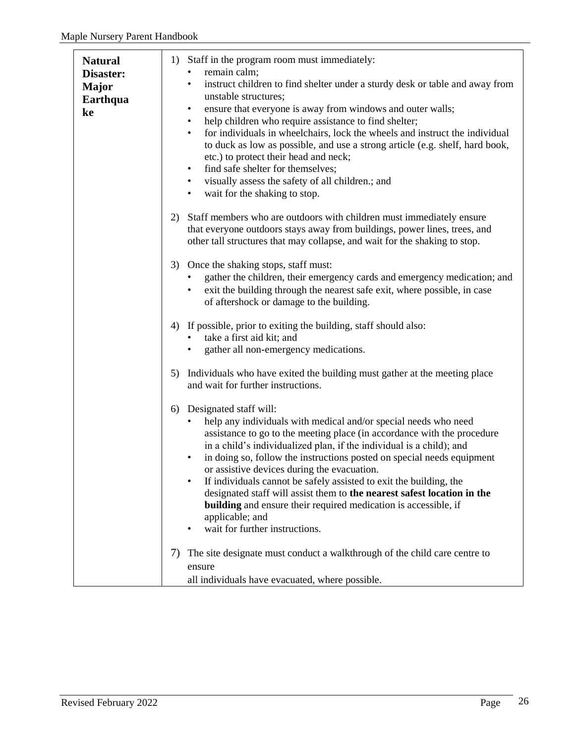| <b>Natural</b><br>Disaster:<br><b>Major</b><br>Earthqua<br>ke | 1) Staff in the program room must immediately:<br>remain calm;<br>instruct children to find shelter under a sturdy desk or table and away from<br>$\bullet$<br>unstable structures;<br>ensure that everyone is away from windows and outer walls;<br>$\bullet$<br>help children who require assistance to find shelter;<br>$\bullet$<br>for individuals in wheelchairs, lock the wheels and instruct the individual<br>$\bullet$<br>to duck as low as possible, and use a strong article (e.g. shelf, hard book,<br>etc.) to protect their head and neck;<br>find safe shelter for themselves;<br>$\bullet$<br>visually assess the safety of all children.; and<br>$\bullet$<br>wait for the shaking to stop.<br>$\bullet$ |
|---------------------------------------------------------------|----------------------------------------------------------------------------------------------------------------------------------------------------------------------------------------------------------------------------------------------------------------------------------------------------------------------------------------------------------------------------------------------------------------------------------------------------------------------------------------------------------------------------------------------------------------------------------------------------------------------------------------------------------------------------------------------------------------------------|
|                                                               | Staff members who are outdoors with children must immediately ensure<br>2)<br>that everyone outdoors stays away from buildings, power lines, trees, and<br>other tall structures that may collapse, and wait for the shaking to stop.                                                                                                                                                                                                                                                                                                                                                                                                                                                                                      |
|                                                               | 3) Once the shaking stops, staff must:<br>gather the children, their emergency cards and emergency medication; and<br>exit the building through the nearest safe exit, where possible, in case<br>$\bullet$<br>of aftershock or damage to the building.                                                                                                                                                                                                                                                                                                                                                                                                                                                                    |
|                                                               | If possible, prior to exiting the building, staff should also:<br>4)<br>take a first aid kit; and<br>gather all non-emergency medications.                                                                                                                                                                                                                                                                                                                                                                                                                                                                                                                                                                                 |
|                                                               | Individuals who have exited the building must gather at the meeting place<br>5)<br>and wait for further instructions.                                                                                                                                                                                                                                                                                                                                                                                                                                                                                                                                                                                                      |
|                                                               | Designated staff will:<br>6)<br>help any individuals with medical and/or special needs who need<br>assistance to go to the meeting place (in accordance with the procedure<br>in a child's individualized plan, if the individual is a child); and<br>in doing so, follow the instructions posted on special needs equipment<br>$\bullet$<br>or assistive devices during the evacuation.<br>If individuals cannot be safely assisted to exit the building, the<br>$\bullet$<br>designated staff will assist them to the nearest safest location in the<br><b>building</b> and ensure their required medication is accessible, if<br>applicable; and<br>wait for further instructions.                                      |
|                                                               | The site designate must conduct a walkthrough of the child care centre to<br>7)<br>ensure<br>all individuals have evacuated, where possible.                                                                                                                                                                                                                                                                                                                                                                                                                                                                                                                                                                               |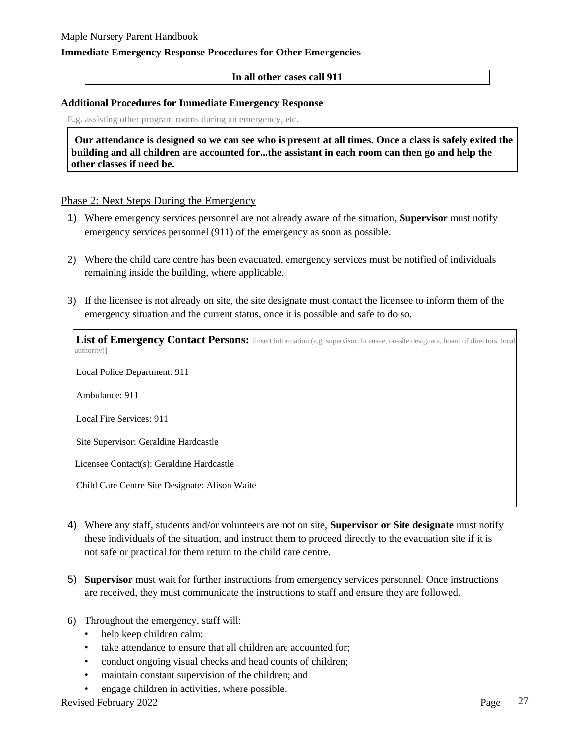#### <span id="page-26-0"></span>**Immediate Emergency Response Procedures for Other Emergencies**

#### **In all other cases call 911**

#### <span id="page-26-1"></span>**Additional Procedures for Immediate Emergency Response**

E.g. assisting other program rooms during an emergency, etc.

**Our attendance is designed so we can see who is present at all times. Once a class is safely exited the building and all children are accounted for...the assistant in each room can then go and help the other classes if need be.**

#### <span id="page-26-2"></span>Phase 2: Next Steps During the Emergency

- 1) Where emergency services personnel are not already aware of the situation, **Supervisor** must notify emergency services personnel (911) of the emergency as soon as possible.
- 2) Where the child care centre has been evacuated, emergency services must be notified of individuals remaining inside the building, where applicable.
- 3) If the licensee is not already on site, the site designate must contact the licensee to inform them of the emergency situation and the current status, once it is possible and safe to do so.

List of Emergency Contact Persons: [insert information (e.g. supervisor, licensee, on-site designate, board of directors, local authority)] Local Police Department: 911 Ambulance: 911 Local Fire Services: 911 Site Supervisor: Geraldine Hardcastle Licensee Contact(s): Geraldine Hardcastle Child Care Centre Site Designate: Alison Waite

- 4) Where any staff, students and/or volunteers are not on site, **Supervisor or Site designate** must notify these individuals of the situation, and instruct them to proceed directly to the evacuation site if it is not safe or practical for them return to the child care centre.
- 5) **Supervisor** must wait for further instructions from emergency services personnel. Once instructions are received, they must communicate the instructions to staff and ensure they are followed.
- 6) Throughout the emergency, staff will:
	- help keep children calm;
	- take attendance to ensure that all children are accounted for;
	- conduct ongoing visual checks and head counts of children;
	- maintain constant supervision of the children; and
	- engage children in activities, where possible.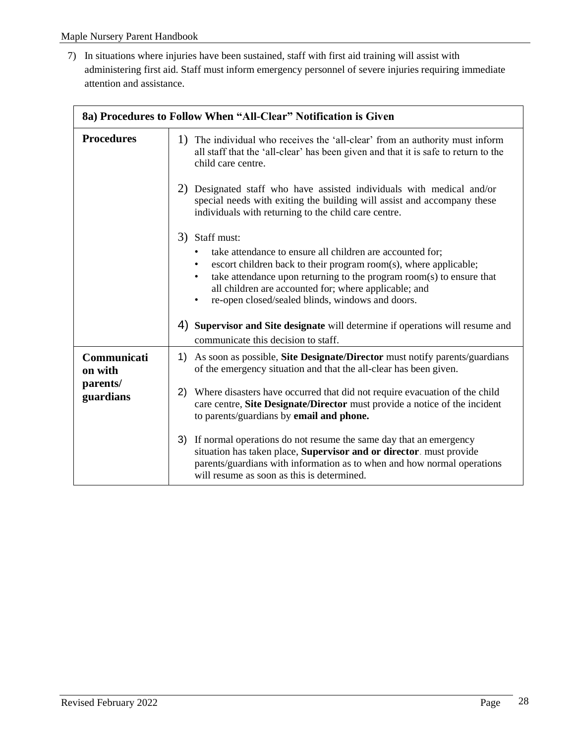7) In situations where injuries have been sustained, staff with first aid training will assist with administering first aid. Staff must inform emergency personnel of severe injuries requiring immediate attention and assistance.

| 8a) Procedures to Follow When "All-Clear" Notification is Given |                                                                                                                                                                                                                                                                                                                                                                |  |
|-----------------------------------------------------------------|----------------------------------------------------------------------------------------------------------------------------------------------------------------------------------------------------------------------------------------------------------------------------------------------------------------------------------------------------------------|--|
| <b>Procedures</b>                                               | 1) The individual who receives the 'all-clear' from an authority must inform<br>all staff that the 'all-clear' has been given and that it is safe to return to the<br>child care centre.                                                                                                                                                                       |  |
|                                                                 | 2) Designated staff who have assisted individuals with medical and/or<br>special needs with exiting the building will assist and accompany these<br>individuals with returning to the child care centre.                                                                                                                                                       |  |
|                                                                 | 3) Staff must:<br>take attendance to ensure all children are accounted for;<br>$\bullet$<br>escort children back to their program room(s), where applicable;<br>take attendance upon returning to the program room(s) to ensure that<br>all children are accounted for; where applicable; and<br>re-open closed/sealed blinds, windows and doors.<br>$\bullet$ |  |
|                                                                 | 4) Supervisor and Site designate will determine if operations will resume and<br>communicate this decision to staff.                                                                                                                                                                                                                                           |  |
| Communicati<br>on with                                          | As soon as possible, Site Designate/Director must notify parents/guardians<br>1)<br>of the emergency situation and that the all-clear has been given.                                                                                                                                                                                                          |  |
| parents/<br>guardians                                           | Where disasters have occurred that did not require evacuation of the child<br>2)<br>care centre, Site Designate/Director must provide a notice of the incident<br>to parents/guardians by email and phone.                                                                                                                                                     |  |
|                                                                 | 3) If normal operations do not resume the same day that an emergency<br>situation has taken place, Supervisor and or director. must provide<br>parents/guardians with information as to when and how normal operations<br>will resume as soon as this is determined.                                                                                           |  |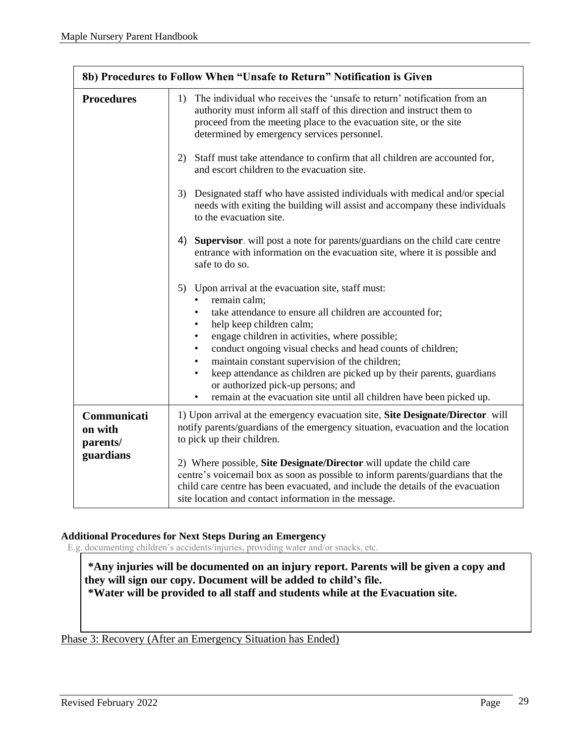| 8b) Procedures to Follow When "Unsafe to Return" Notification is Given |                                                                                                                                                                                                                                                                                                                                                                                                                                                                                                                                                                  |  |
|------------------------------------------------------------------------|------------------------------------------------------------------------------------------------------------------------------------------------------------------------------------------------------------------------------------------------------------------------------------------------------------------------------------------------------------------------------------------------------------------------------------------------------------------------------------------------------------------------------------------------------------------|--|
| <b>Procedures</b>                                                      | The individual who receives the 'unsafe to return' notification from an<br>1)<br>authority must inform all staff of this direction and instruct them to<br>proceed from the meeting place to the evacuation site, or the site<br>determined by emergency services personnel.                                                                                                                                                                                                                                                                                     |  |
|                                                                        | Staff must take attendance to confirm that all children are accounted for,<br>2)<br>and escort children to the evacuation site.                                                                                                                                                                                                                                                                                                                                                                                                                                  |  |
|                                                                        | Designated staff who have assisted individuals with medical and/or special<br>3)<br>needs with exiting the building will assist and accompany these individuals<br>to the evacuation site.                                                                                                                                                                                                                                                                                                                                                                       |  |
|                                                                        | Supervisor. will post a note for parents/guardians on the child care centre<br>4)<br>entrance with information on the evacuation site, where it is possible and<br>safe to do so.                                                                                                                                                                                                                                                                                                                                                                                |  |
|                                                                        | Upon arrival at the evacuation site, staff must:<br>5)<br>remain calm;<br>take attendance to ensure all children are accounted for;<br>help keep children calm;<br>engage children in activities, where possible;<br>$\bullet$<br>conduct ongoing visual checks and head counts of children;<br>maintain constant supervision of the children;<br>$\bullet$<br>keep attendance as children are picked up by their parents, guardians<br>or authorized pick-up persons; and<br>remain at the evacuation site until all children have been picked up.<br>$\bullet$ |  |
| Communicati<br>on with<br>parents/<br>guardians                        | 1) Upon arrival at the emergency evacuation site, Site Designate/Director. will<br>notify parents/guardians of the emergency situation, evacuation and the location<br>to pick up their children.                                                                                                                                                                                                                                                                                                                                                                |  |
|                                                                        | 2) Where possible, Site Designate/Director will update the child care<br>centre's voicemail box as soon as possible to inform parents/guardians that the<br>child care centre has been evacuated, and include the details of the evacuation<br>site location and contact information in the message.                                                                                                                                                                                                                                                             |  |

#### <span id="page-28-0"></span>**Additional Procedures for Next Steps During an Emergency**

E.g. documenting children's accidents/injuries, providing water and/or snacks, etc.

**\*Any injuries will be documented on an injury report. Parents will be given a copy and they will sign our copy. Document will be added to child's file. \*Water will be provided to all staff and students while at the Evacuation site.**

<span id="page-28-1"></span>Phase 3: Recovery (After an Emergency Situation has Ended)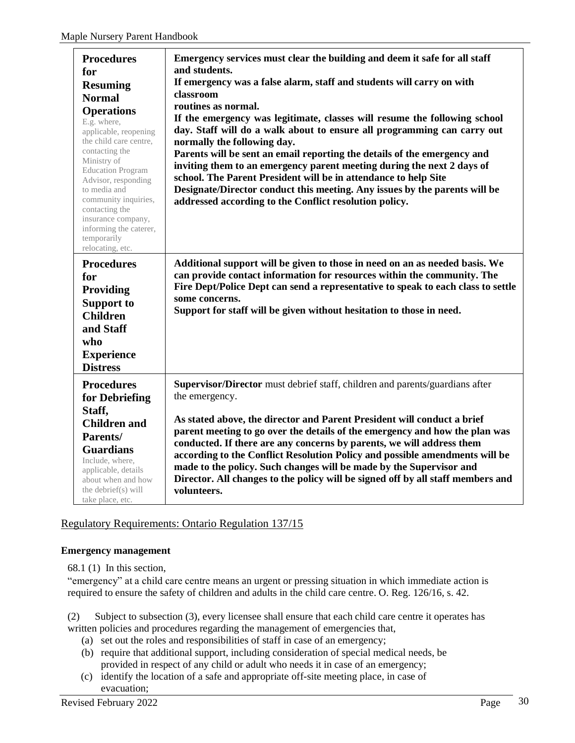| <b>Procedures</b><br>for<br><b>Resuming</b><br><b>Normal</b><br><b>Operations</b><br>E.g. where,<br>applicable, reopening<br>the child care centre,<br>contacting the<br>Ministry of<br><b>Education Program</b><br>Advisor, responding<br>to media and<br>community inquiries,<br>contacting the<br>insurance company,<br>informing the caterer,<br>temporarily<br>relocating, etc. | Emergency services must clear the building and deem it safe for all staff<br>and students.<br>If emergency was a false alarm, staff and students will carry on with<br>classroom<br>routines as normal.<br>If the emergency was legitimate, classes will resume the following school<br>day. Staff will do a walk about to ensure all programming can carry out<br>normally the following day.<br>Parents will be sent an email reporting the details of the emergency and<br>inviting them to an emergency parent meeting during the next 2 days of<br>school. The Parent President will be in attendance to help Site<br>Designate/Director conduct this meeting. Any issues by the parents will be<br>addressed according to the Conflict resolution policy. |
|--------------------------------------------------------------------------------------------------------------------------------------------------------------------------------------------------------------------------------------------------------------------------------------------------------------------------------------------------------------------------------------|-----------------------------------------------------------------------------------------------------------------------------------------------------------------------------------------------------------------------------------------------------------------------------------------------------------------------------------------------------------------------------------------------------------------------------------------------------------------------------------------------------------------------------------------------------------------------------------------------------------------------------------------------------------------------------------------------------------------------------------------------------------------|
| <b>Procedures</b><br>for<br><b>Providing</b><br><b>Support to</b><br><b>Children</b><br>and Staff<br>who<br><b>Experience</b><br><b>Distress</b>                                                                                                                                                                                                                                     | Additional support will be given to those in need on an as needed basis. We<br>can provide contact information for resources within the community. The<br>Fire Dept/Police Dept can send a representative to speak to each class to settle<br>some concerns.<br>Support for staff will be given without hesitation to those in need.                                                                                                                                                                                                                                                                                                                                                                                                                            |
| <b>Procedures</b><br>for Debriefing<br>Staff,<br><b>Children and</b><br>Parents/<br><b>Guardians</b><br>Include, where,<br>applicable, details<br>about when and how<br>the debrief(s) will<br>take place, etc.                                                                                                                                                                      | Supervisor/Director must debrief staff, children and parents/guardians after<br>the emergency.<br>As stated above, the director and Parent President will conduct a brief<br>parent meeting to go over the details of the emergency and how the plan was<br>conducted. If there are any concerns by parents, we will address them<br>according to the Conflict Resolution Policy and possible amendments will be<br>made to the policy. Such changes will be made by the Supervisor and<br>Director. All changes to the policy will be signed off by all staff members and<br>volunteers.                                                                                                                                                                       |

## <span id="page-29-0"></span>Regulatory Requirements: Ontario Regulation 137/15

#### <span id="page-29-1"></span>**Emergency management**

68.1 (1) In this section,

"emergency" at a child care centre means an urgent or pressing situation in which immediate action is required to ensure the safety of children and adults in the child care centre. O. Reg. 126/16, s. 42.

(2) Subject to subsection (3), every licensee shall ensure that each child care centre it operates has written policies and procedures regarding the management of emergencies that,

- (a) set out the roles and responsibilities of staff in case of an emergency;
- (b) require that additional support, including consideration of special medical needs, be provided in respect of any child or adult who needs it in case of an emergency;
- (c) identify the location of a safe and appropriate off-site meeting place, in case of evacuation;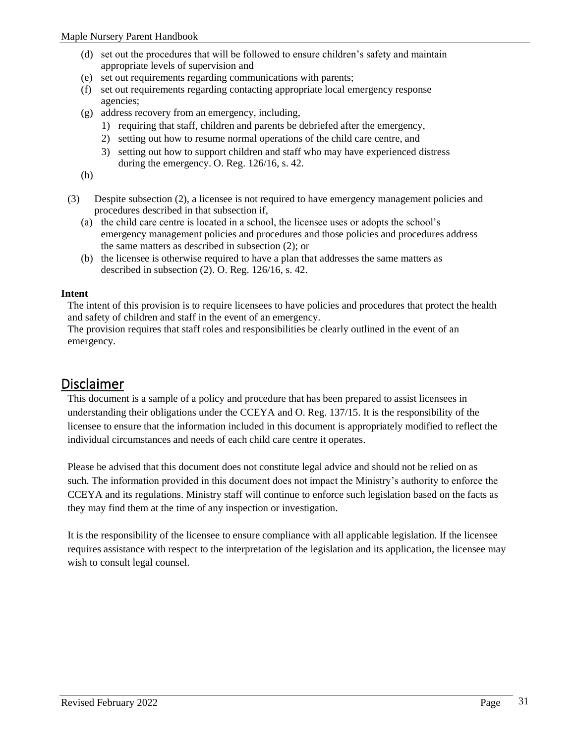- (d) set out the procedures that will be followed to ensure children's safety and maintain appropriate levels of supervision and
- (e) set out requirements regarding communications with parents;
- (f) set out requirements regarding contacting appropriate local emergency response agencies;
- (g) address recovery from an emergency, including,
	- 1) requiring that staff, children and parents be debriefed after the emergency,
	- 2) setting out how to resume normal operations of the child care centre, and
	- 3) setting out how to support children and staff who may have experienced distress during the emergency. O. Reg. 126/16, s. 42.

(h)

- (3) Despite subsection (2), a licensee is not required to have emergency management policies and procedures described in that subsection if,
	- (a) the child care centre is located in a school, the licensee uses or adopts the school's emergency management policies and procedures and those policies and procedures address the same matters as described in subsection (2); or
	- (b) the licensee is otherwise required to have a plan that addresses the same matters as described in subsection (2). O. Reg. 126/16, s. 42.

#### <span id="page-30-0"></span>**Intent**

The intent of this provision is to require licensees to have policies and procedures that protect the health and safety of children and staff in the event of an emergency.

The provision requires that staff roles and responsibilities be clearly outlined in the event of an emergency.

## <span id="page-30-1"></span>Disclaimer

This document is a sample of a policy and procedure that has been prepared to assist licensees in understanding their obligations under the CCEYA and O. Reg. 137/15. It is the responsibility of the licensee to ensure that the information included in this document is appropriately modified to reflect the individual circumstances and needs of each child care centre it operates.

Please be advised that this document does not constitute legal advice and should not be relied on as such. The information provided in this document does not impact the Ministry's authority to enforce the CCEYA and its regulations. Ministry staff will continue to enforce such legislation based on the facts as they may find them at the time of any inspection or investigation.

It is the responsibility of the licensee to ensure compliance with all applicable legislation. If the licensee requires assistance with respect to the interpretation of the legislation and its application, the licensee may wish to consult legal counsel.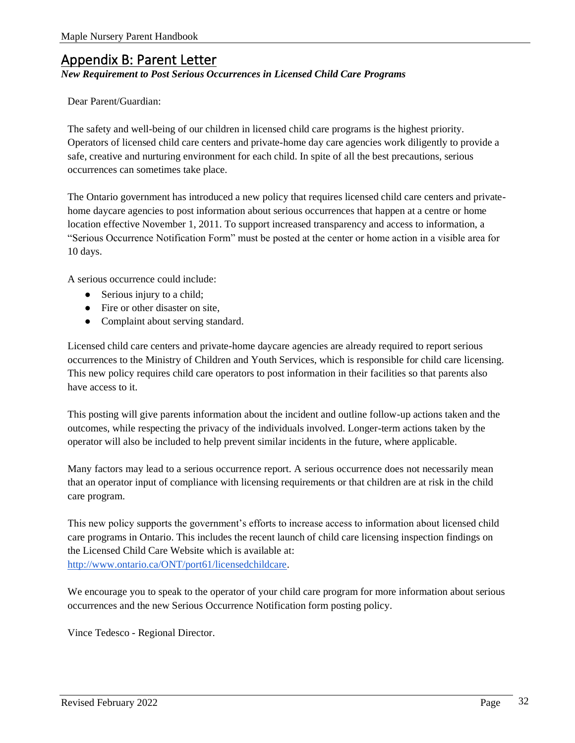## <span id="page-31-0"></span>Appendix B: Parent Letter

#### *New Requirement to Post Serious Occurrences in Licensed Child Care Programs*

#### Dear Parent/Guardian:

The safety and well-being of our children in licensed child care programs is the highest priority. Operators of licensed child care centers and private-home day care agencies work diligently to provide a safe, creative and nurturing environment for each child. In spite of all the best precautions, serious occurrences can sometimes take place.

The Ontario government has introduced a new policy that requires licensed child care centers and privatehome daycare agencies to post information about serious occurrences that happen at a centre or home location effective November 1, 2011. To support increased transparency and access to information, a "Serious Occurrence Notification Form" must be posted at the center or home action in a visible area for 10 days.

A serious occurrence could include:

- Serious injury to a child;
- Fire or other disaster on site,
- Complaint about serving standard.

Licensed child care centers and private-home daycare agencies are already required to report serious occurrences to the Ministry of Children and Youth Services, which is responsible for child care licensing. This new policy requires child care operators to post information in their facilities so that parents also have access to it.

This posting will give parents information about the incident and outline follow-up actions taken and the outcomes, while respecting the privacy of the individuals involved. Longer-term actions taken by the operator will also be included to help prevent similar incidents in the future, where applicable.

Many factors may lead to a serious occurrence report. A serious occurrence does not necessarily mean that an operator input of compliance with licensing requirements or that children are at risk in the child care program.

This new policy supports the government's efforts to increase access to information about licensed child care programs in Ontario. This includes the recent launch of child care licensing inspection findings on the Licensed Child Care Website which is available a[t:](http://www.ontario.ca/ONT/port61/licensedchildcare) [http://www.ontario.ca/ONT/port61/licensedchildcare.](http://www.ontario.ca/ONT/port61/licensedchildcare)

We encourage you to speak to the operator of your child care program for more information about serious occurrences and the new Serious Occurrence Notification form posting policy.

Vince Tedesco - Regional Director.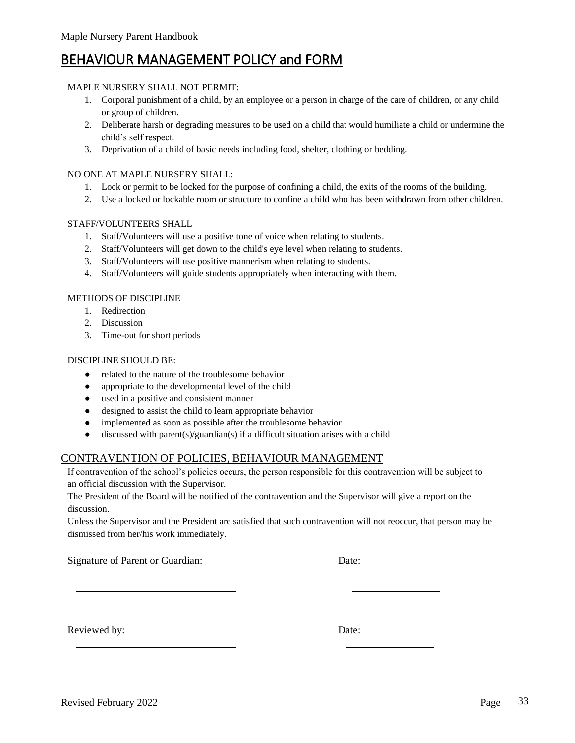# <span id="page-32-0"></span>BEHAVIOUR MANAGEMENT POLICY and FORM

## MAPLE NURSERY SHALL NOT PERMIT:

- 1. Corporal punishment of a child, by an employee or a person in charge of the care of children, or any child or group of children.
- 2. Deliberate harsh or degrading measures to be used on a child that would humiliate a child or undermine the child's self respect.
- 3. Deprivation of a child of basic needs including food, shelter, clothing or bedding.

## NO ONE AT MAPLE NURSERY SHALL:

- 1. Lock or permit to be locked for the purpose of confining a child, the exits of the rooms of the building.
- 2. Use a locked or lockable room or structure to confine a child who has been withdrawn from other children.

## STAFF/VOLUNTEERS SHALL

- 1. Staff/Volunteers will use a positive tone of voice when relating to students.
- 2. Staff/Volunteers will get down to the child's eye level when relating to students.
- 3. Staff/Volunteers will use positive mannerism when relating to students.
- 4. Staff/Volunteers will guide students appropriately when interacting with them.

## METHODS OF DISCIPLINE

- 1. Redirection
- 2. Discussion
- 3. Time-out for short periods

## DISCIPLINE SHOULD BE:

- related to the nature of the troublesome behavior
- appropriate to the developmental level of the child
- used in a positive and consistent manner
- designed to assist the child to learn appropriate behavior
- implemented as soon as possible after the troublesome behavior
- discussed with parent(s)/guardian(s) if a difficult situation arises with a child

## <span id="page-32-1"></span>CONTRAVENTION OF POLICIES, BEHAVIOUR MANAGEMENT

If contravention of the school's policies occurs, the person responsible for this contravention will be subject to an official discussion with the Supervisor.

The President of the Board will be notified of the contravention and the Supervisor will give a report on the discussion.

Unless the Supervisor and the President are satisfied that such contravention will not reoccur, that person may be dismissed from her/his work immediately.

Signature of Parent or Guardian: Date:

Reviewed by: Date: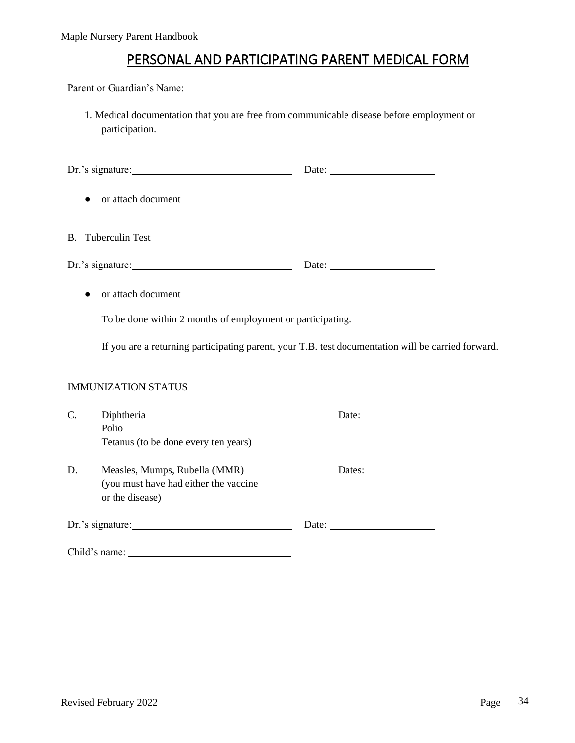# PERSONAL AND PARTICIPATING PARENT MEDICAL FORM

<span id="page-33-0"></span>Parent or Guardian's Name:

1. Medical documentation that you are free from communicable disease before employment or participation.

|    | $Dr.'s$ signature:                                                                        | Date: $\qquad \qquad$                                                                              |  |
|----|-------------------------------------------------------------------------------------------|----------------------------------------------------------------------------------------------------|--|
|    | or attach document                                                                        |                                                                                                    |  |
|    | <b>B.</b> Tuberculin Test                                                                 |                                                                                                    |  |
|    | $Dr.'s$ signature:                                                                        |                                                                                                    |  |
|    | or attach document                                                                        |                                                                                                    |  |
|    | To be done within 2 months of employment or participating.                                |                                                                                                    |  |
|    |                                                                                           | If you are a returning participating parent, your T.B. test documentation will be carried forward. |  |
|    | <b>IMMUNIZATION STATUS</b>                                                                |                                                                                                    |  |
| C. | Diphtheria<br>Polio<br>Tetanus (to be done every ten years)                               |                                                                                                    |  |
| D. | Measles, Mumps, Rubella (MMR)<br>(you must have had either the vaccine<br>or the disease) | Dates:                                                                                             |  |
|    | $Dr.'s$ signature:                                                                        | Date:                                                                                              |  |
|    | Child's name:                                                                             |                                                                                                    |  |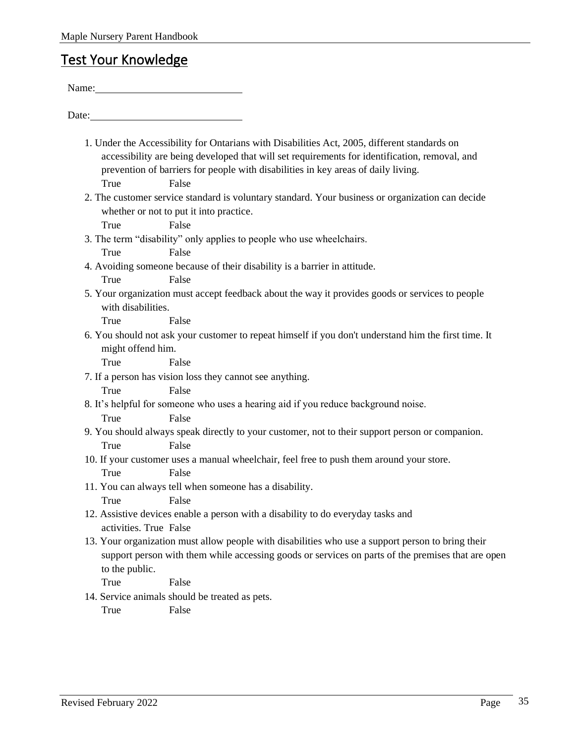# <span id="page-34-0"></span>Test Your Knowledge

| Name: Name and the second state of the second state of the second state of the second state of the second state of the second state of the second state of the second state of the second state of the second state of the sec                                                                      |
|-----------------------------------------------------------------------------------------------------------------------------------------------------------------------------------------------------------------------------------------------------------------------------------------------------|
| Date:                                                                                                                                                                                                                                                                                               |
| 1. Under the Accessibility for Ontarians with Disabilities Act, 2005, different standards on<br>accessibility are being developed that will set requirements for identification, removal, and<br>prevention of barriers for people with disabilities in key areas of daily living.<br>False<br>True |
| 2. The customer service standard is voluntary standard. Your business or organization can decide                                                                                                                                                                                                    |
| whether or not to put it into practice.                                                                                                                                                                                                                                                             |
| False<br>True                                                                                                                                                                                                                                                                                       |
| 3. The term "disability" only applies to people who use wheelchairs.                                                                                                                                                                                                                                |
| False<br>True                                                                                                                                                                                                                                                                                       |
| 4. Avoiding someone because of their disability is a barrier in attitude.                                                                                                                                                                                                                           |
| False<br>True                                                                                                                                                                                                                                                                                       |
| 5. Your organization must accept feedback about the way it provides goods or services to people<br>with disabilities.                                                                                                                                                                               |
| True<br>False                                                                                                                                                                                                                                                                                       |
| 6. You should not ask your customer to repeat himself if you don't understand him the first time. It<br>might offend him.                                                                                                                                                                           |
| True<br>False                                                                                                                                                                                                                                                                                       |
| 7. If a person has vision loss they cannot see anything.                                                                                                                                                                                                                                            |
| False<br>True                                                                                                                                                                                                                                                                                       |
| 8. It's helpful for someone who uses a hearing aid if you reduce background noise.                                                                                                                                                                                                                  |
| True<br>False                                                                                                                                                                                                                                                                                       |
| 9. You should always speak directly to your customer, not to their support person or companion.                                                                                                                                                                                                     |
| False<br>True                                                                                                                                                                                                                                                                                       |
| 10. If your customer uses a manual wheelchair, feel free to push them around your store.<br>True<br>False                                                                                                                                                                                           |
| 11. You can always tell when someone has a disability.                                                                                                                                                                                                                                              |
| False<br>True                                                                                                                                                                                                                                                                                       |
| 12. Assistive devices enable a person with a disability to do everyday tasks and                                                                                                                                                                                                                    |
| activities. True False                                                                                                                                                                                                                                                                              |
| 13. Your organization must allow people with disabilities who use a support person to bring their                                                                                                                                                                                                   |
| support person with them while accessing goods or services on parts of the premises that are open                                                                                                                                                                                                   |
| to the public.                                                                                                                                                                                                                                                                                      |
| True<br>False                                                                                                                                                                                                                                                                                       |
| 14. Service animals should be treated as pets.                                                                                                                                                                                                                                                      |
| False<br>True                                                                                                                                                                                                                                                                                       |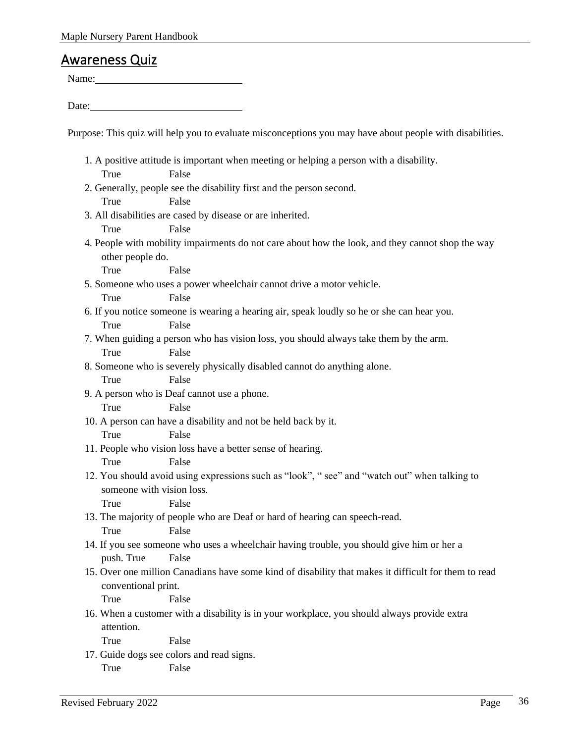## <span id="page-35-0"></span>Awareness Quiz

Name:

Date:

Purpose: This quiz will help you to evaluate misconceptions you may have about people with disabilities.

- 1. A positive attitude is important when meeting or helping a person with a disability. True False 2. Generally, people see the disability first and the person second. True False 3. All disabilities are cased by disease or are inherited. True False 4. People with mobility impairments do not care about how the look, and they cannot shop the way other people do. True False 5. Someone who uses a power wheelchair cannot drive a motor vehicle. True False 6. If you notice someone is wearing a hearing air, speak loudly so he or she can hear you. True False 7. When guiding a person who has vision loss, you should always take them by the arm. True False 8. Someone who is severely physically disabled cannot do anything alone. True False 9. A person who is Deaf cannot use a phone. True False 10. A person can have a disability and not be held back by it. True False 11. People who vision loss have a better sense of hearing. True False 12. You should avoid using expressions such as "look", " see" and "watch out" when talking to someone with vision loss. True False 13. The majority of people who are Deaf or hard of hearing can speech-read. True False 14. If you see someone who uses a wheelchair having trouble, you should give him or her a push. True False 15. Over one million Canadians have some kind of disability that makes it difficult for them to read conventional print. True False 16. When a customer with a disability is in your workplace, you should always provide extra attention. True False 17. Guide dogs see colors and read signs.
	- True False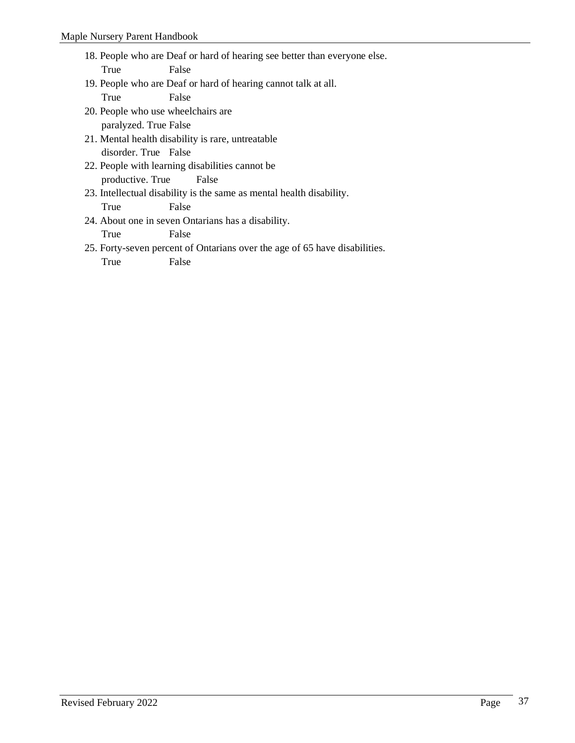- 18. People who are Deaf or hard of hearing see better than everyone else. True False
- 19. People who are Deaf or hard of hearing cannot talk at all. True False
- 20. People who use wheelchairs are paralyzed. True False
- 21. Mental health disability is rare, untreatable disorder. True False
- 22. People with learning disabilities cannot be productive. True False
- 23. Intellectual disability is the same as mental health disability. True False
- 24. About one in seven Ontarians has a disability. True False
- 25. Forty-seven percent of Ontarians over the age of 65 have disabilities.

True False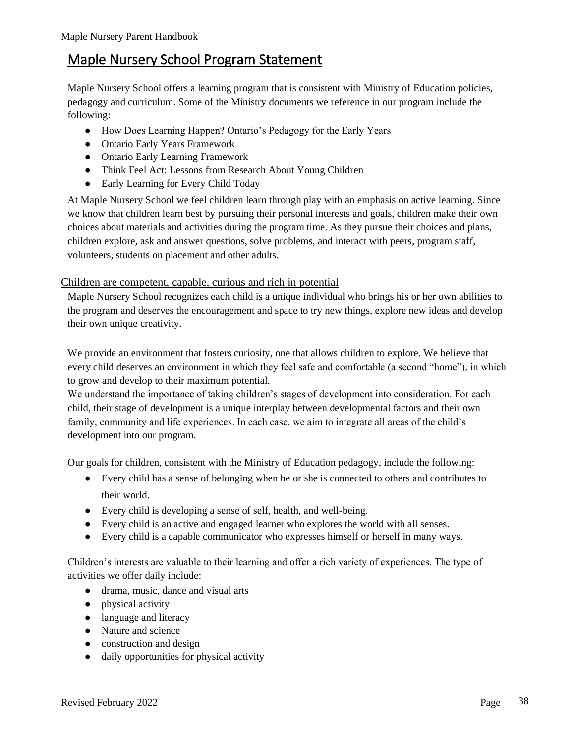## <span id="page-37-0"></span>Maple Nursery School Program Statement

Maple Nursery School offers a learning program that is consistent with Ministry of Education policies, pedagogy and curriculum. Some of the Ministry documents we reference in our program include the following:

- How Does Learning Happen? Ontario's Pedagogy for the Early Years
- Ontario Early Years Framework
- Ontario Early Learning Framework
- Think Feel Act: Lessons from Research About Young Children
- Early Learning for Every Child Today

At Maple Nursery School we feel children learn through play with an emphasis on active learning. Since we know that children learn best by pursuing their personal interests and goals, children make their own choices about materials and activities during the program time. As they pursue their choices and plans, children explore, ask and answer questions, solve problems, and interact with peers, program staff, volunteers, students on placement and other adults.

## <span id="page-37-1"></span>Children are competent, capable, curious and rich in potential

Maple Nursery School recognizes each child is a unique individual who brings his or her own abilities to the program and deserves the encouragement and space to try new things, explore new ideas and develop their own unique creativity.

We provide an environment that fosters curiosity, one that allows children to explore. We believe that every child deserves an environment in which they feel safe and comfortable (a second "home"), in which to grow and develop to their maximum potential.

We understand the importance of taking children's stages of development into consideration. For each child, their stage of development is a unique interplay between developmental factors and their own family, community and life experiences. In each case, we aim to integrate all areas of the child's development into our program.

Our goals for children, consistent with the Ministry of Education pedagogy, include the following:

- Every child has a sense of belonging when he or she is connected to others and contributes to their world.
- Every child is developing a sense of self, health, and well-being.
- Every child is an active and engaged learner who explores the world with all senses.
- Every child is a capable communicator who expresses himself or herself in many ways.

Children's interests are valuable to their learning and offer a rich variety of experiences. The type of activities we offer daily include:

- drama, music, dance and visual arts
- physical activity
- language and literacy
- Nature and science
- construction and design
- daily opportunities for physical activity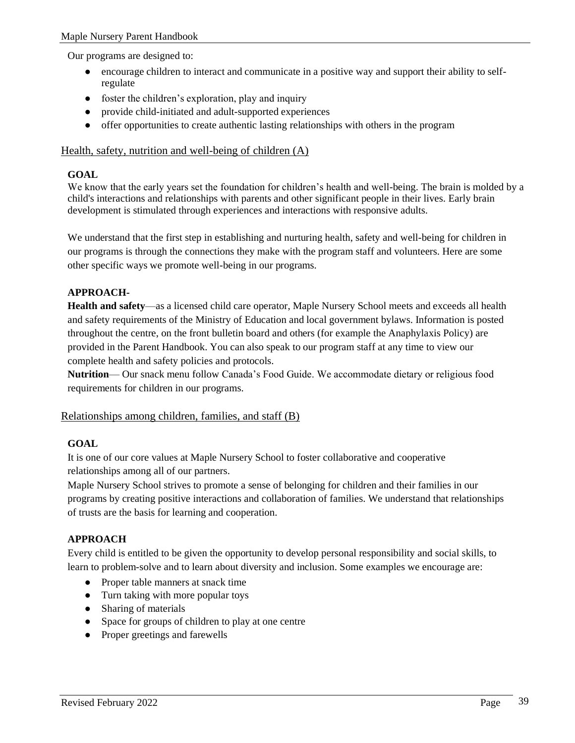Our programs are designed to:

- encourage children to interact and communicate in a positive way and support their ability to selfregulate
- foster the children's exploration, play and inquiry
- provide child-initiated and adult-supported experiences
- offer opportunities to create authentic lasting relationships with others in the program

## <span id="page-38-0"></span>Health, safety, nutrition and well-being of children (A)

#### **GOAL**

We know that the early years set the foundation for children's health and well-being. The brain is molded by a child's interactions and relationships with parents and other significant people in their lives. Early brain development is stimulated through experiences and interactions with responsive adults.

We understand that the first step in establishing and nurturing health, safety and well-being for children in our programs is through the connections they make with the program staff and volunteers. Here are some other specific ways we promote well-being in our programs.

## **APPROACH-**

**Health and safety**—as a licensed child care operator, Maple Nursery School meets and exceeds all health and safety requirements of the Ministry of Education and local government bylaws. Information is posted throughout the centre, on the front bulletin board and others (for example the Anaphylaxis Policy) are provided in the Parent Handbook. You can also speak to our program staff at any time to view our complete health and safety policies and protocols.

**Nutrition**— Our snack menu follow Canada's Food Guide. We accommodate dietary or religious food requirements for children in our programs.

## <span id="page-38-1"></span>Relationships among children, families, and staff (B)

## **GOAL**

It is one of our core values at Maple Nursery School to foster collaborative and cooperative relationships among all of our partners.

Maple Nursery School strives to promote a sense of belonging for children and their families in our programs by creating positive interactions and collaboration of families. We understand that relationships of trusts are the basis for learning and cooperation.

## **APPROACH**

Every child is entitled to be given the opportunity to develop personal responsibility and social skills, to learn to problem-solve and to learn about diversity and inclusion. Some examples we encourage are:

- Proper table manners at snack time
- Turn taking with more popular toys
- Sharing of materials
- Space for groups of children to play at one centre
- Proper greetings and farewells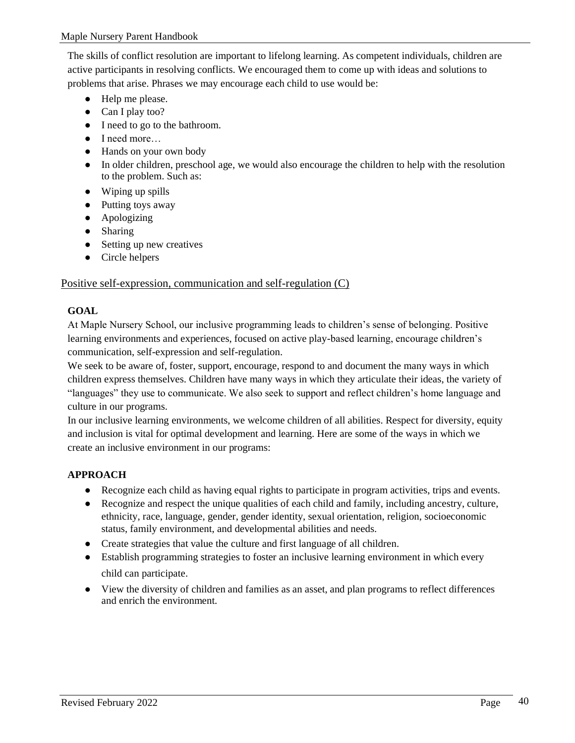The skills of conflict resolution are important to lifelong learning. As competent individuals, children are active participants in resolving conflicts. We encouraged them to come up with ideas and solutions to problems that arise. Phrases we may encourage each child to use would be:

- Help me please.
- Can I play too?
- I need to go to the bathroom.
- I need more…
- Hands on your own body
- In older children, preschool age, we would also encourage the children to help with the resolution to the problem. Such as:
- Wiping up spills
- Putting toys away
- Apologizing
- Sharing
- Setting up new creatives
- Circle helpers

## <span id="page-39-0"></span>Positive self-expression, communication and self-regulation (C)

## **GOAL**

At Maple Nursery School, our inclusive programming leads to children's sense of belonging. Positive learning environments and experiences, focused on active play-based learning, encourage children's communication, self-expression and self-regulation.

We seek to be aware of, foster, support, encourage, respond to and document the many ways in which children express themselves. Children have many ways in which they articulate their ideas, the variety of "languages" they use to communicate. We also seek to support and reflect children's home language and culture in our programs.

In our inclusive learning environments, we welcome children of all abilities. Respect for diversity, equity and inclusion is vital for optimal development and learning. Here are some of the ways in which we create an inclusive environment in our programs:

## **APPROACH**

- Recognize each child as having equal rights to participate in program activities, trips and events.
- Recognize and respect the unique qualities of each child and family, including ancestry, culture, ethnicity, race, language, gender, gender identity, sexual orientation, religion, socioeconomic status, family environment, and developmental abilities and needs.
- Create strategies that value the culture and first language of all children.
- Establish programming strategies to foster an inclusive learning environment in which every child can participate.
- View the diversity of children and families as an asset, and plan programs to reflect differences and enrich the environment.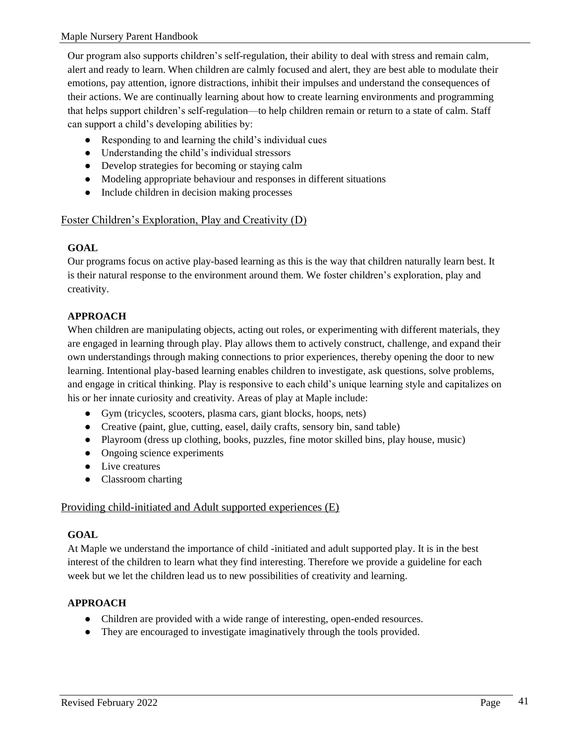Our program also supports children's self-regulation, their ability to deal with stress and remain calm, alert and ready to learn. When children are calmly focused and alert, they are best able to modulate their emotions, pay attention, ignore distractions, inhibit their impulses and understand the consequences of their actions. We are continually learning about how to create learning environments and programming that helps support children's self-regulation—to help children remain or return to a state of calm. Staff can support a child's developing abilities by:

- Responding to and learning the child's individual cues
- Understanding the child's individual stressors
- Develop strategies for becoming or staying calm
- Modeling appropriate behaviour and responses in different situations
- Include children in decision making processes

## <span id="page-40-0"></span>Foster Children's Exploration, Play and Creativity (D)

## **GOAL**

Our programs focus on active play-based learning as this is the way that children naturally learn best. It is their natural response to the environment around them. We foster children's exploration, play and creativity.

## **APPROACH**

When children are manipulating objects, acting out roles, or experimenting with different materials, they are engaged in learning through play. Play allows them to actively construct, challenge, and expand their own understandings through making connections to prior experiences, thereby opening the door to new learning. Intentional play-based learning enables children to investigate, ask questions, solve problems, and engage in critical thinking. Play is responsive to each child's unique learning style and capitalizes on his or her innate curiosity and creativity. Areas of play at Maple include:

- Gym (tricycles, scooters, plasma cars, giant blocks, hoops, nets)
- Creative (paint, glue, cutting, easel, daily crafts, sensory bin, sand table)
- Playroom (dress up clothing, books, puzzles, fine motor skilled bins, play house, music)
- Ongoing science experiments
- Live creatures
- Classroom charting

## <span id="page-40-1"></span>Providing child-initiated and Adult supported experiences (E)

## **GOAL**

At Maple we understand the importance of child -initiated and adult supported play. It is in the best interest of the children to learn what they find interesting. Therefore we provide a guideline for each week but we let the children lead us to new possibilities of creativity and learning.

## **APPROACH**

- Children are provided with a wide range of interesting, open-ended resources.
- They are encouraged to investigate imaginatively through the tools provided.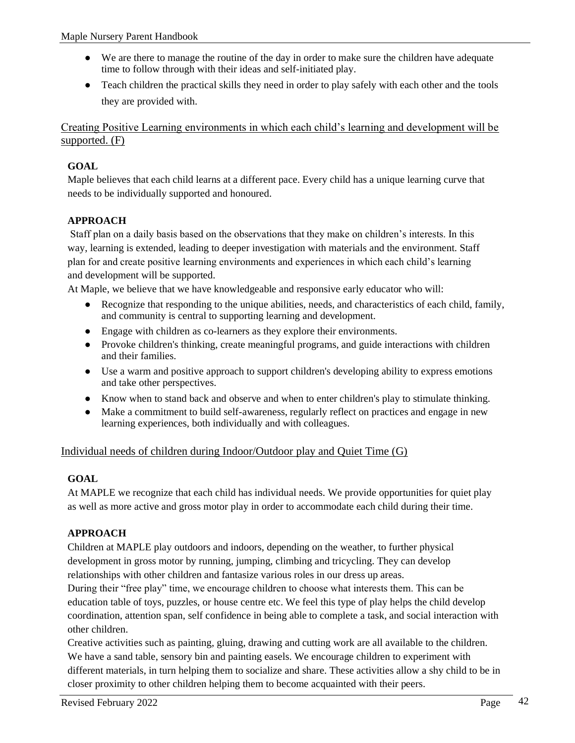- We are there to manage the routine of the day in order to make sure the children have adequate time to follow through with their ideas and self-initiated play.
- Teach children the practical skills they need in order to play safely with each other and the tools they are provided with.

<span id="page-41-0"></span>Creating Positive Learning environments in which each child's learning and development will be supported. (F)

## **GOAL**

Maple believes that each child learns at a different pace. Every child has a unique learning curve that needs to be individually supported and honoured.

## **APPROACH**

Staff plan on a daily basis based on the observations that they make on children's interests. In this way, learning is extended, leading to deeper investigation with materials and the environment. Staff plan for and create positive learning environments and experiences in which each child's learning and development will be supported.

At Maple, we believe that we have knowledgeable and responsive early educator who will:

- Recognize that responding to the unique abilities, needs, and characteristics of each child, family, and community is central to supporting learning and development.
- Engage with children as co-learners as they explore their environments.
- Provoke children's thinking, create meaningful programs, and guide interactions with children and their families.
- Use a warm and positive approach to support children's developing ability to express emotions and take other perspectives.
- Know when to stand back and observe and when to enter children's play to stimulate thinking.
- Make a commitment to build self-awareness, regularly reflect on practices and engage in new learning experiences, both individually and with colleagues.

## <span id="page-41-1"></span>Individual needs of children during Indoor/Outdoor play and Quiet Time (G)

## **GOAL**

At MAPLE we recognize that each child has individual needs. We provide opportunities for quiet play as well as more active and gross motor play in order to accommodate each child during their time.

## **APPROACH**

Children at MAPLE play outdoors and indoors, depending on the weather, to further physical development in gross motor by running, jumping, climbing and tricycling. They can develop relationships with other children and fantasize various roles in our dress up areas.

During their "free play" time, we encourage children to choose what interests them. This can be education table of toys, puzzles, or house centre etc. We feel this type of play helps the child develop coordination, attention span, self confidence in being able to complete a task, and social interaction with other children.

Creative activities such as painting, gluing, drawing and cutting work are all available to the children. We have a sand table, sensory bin and painting easels. We encourage children to experiment with different materials, in turn helping them to socialize and share. These activities allow a shy child to be in closer proximity to other children helping them to become acquainted with their peers.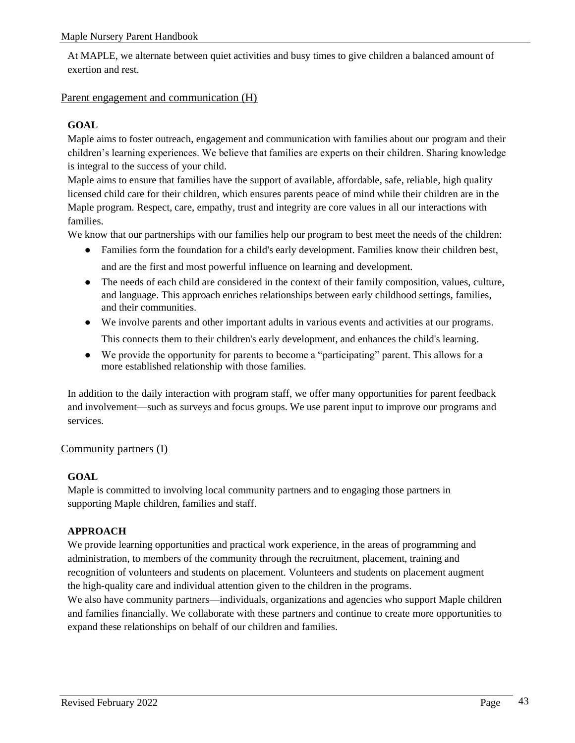At MAPLE, we alternate between quiet activities and busy times to give children a balanced amount of exertion and rest.

## <span id="page-42-0"></span>Parent engagement and communication (H)

## **GOAL**

Maple aims to foster outreach, engagement and communication with families about our program and their children's learning experiences. We believe that families are experts on their children. Sharing knowledge is integral to the success of your child.

Maple aims to ensure that families have the support of available, affordable, safe, reliable, high quality licensed child care for their children, which ensures parents peace of mind while their children are in the Maple program. Respect, care, empathy, trust and integrity are core values in all our interactions with families.

We know that our partnerships with our families help our program to best meet the needs of the children:

- Families form the foundation for a child's early development. Families know their children best, and are the first and most powerful influence on learning and development.
- The needs of each child are considered in the context of their family composition, values, culture, and language. This approach enriches relationships between early childhood settings, families, and their communities.
- We involve parents and other important adults in various events and activities at our programs. This connects them to their children's early development, and enhances the child's learning.
- We provide the opportunity for parents to become a "participating" parent. This allows for a more established relationship with those families.

In addition to the daily interaction with program staff, we offer many opportunities for parent feedback and involvement—such as surveys and focus groups. We use parent input to improve our programs and services.

## <span id="page-42-1"></span>Community partners (I)

## **GOAL**

Maple is committed to involving local community partners and to engaging those partners in supporting Maple children, families and staff.

## **APPROACH**

We provide learning opportunities and practical work experience, in the areas of programming and administration, to members of the community through the recruitment, placement, training and recognition of volunteers and students on placement. Volunteers and students on placement augment the high-quality care and individual attention given to the children in the programs. We also have community partners—individuals, organizations and agencies who support Maple children

and families financially. We collaborate with these partners and continue to create more opportunities to expand these relationships on behalf of our children and families.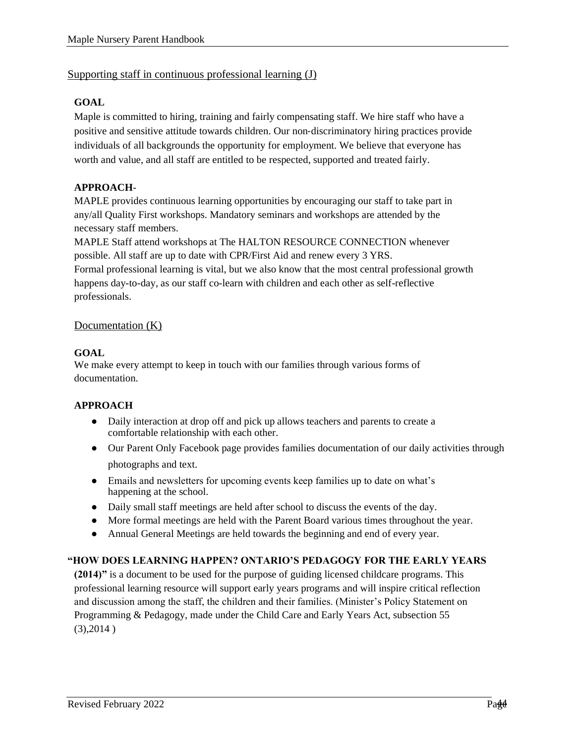## <span id="page-43-0"></span>Supporting staff in continuous professional learning (J)

## **GOAL**

Maple is committed to hiring, training and fairly compensating staff. We hire staff who have a positive and sensitive attitude towards children. Our non‑discriminatory hiring practices provide individuals of all backgrounds the opportunity for employment. We believe that everyone has worth and value, and all staff are entitled to be respected, supported and treated fairly.

## **APPROACH**-

MAPLE provides continuous learning opportunities by encouraging our staff to take part in any/all Quality First workshops. Mandatory seminars and workshops are attended by the necessary staff members.

MAPLE Staff attend workshops at The HALTON RESOURCE CONNECTION whenever possible. All staff are up to date with CPR/First Aid and renew every 3 YRS.

Formal professional learning is vital, but we also know that the most central professional growth happens day-to-day, as our staff co-learn with children and each other as self-reflective professionals.

## <span id="page-43-1"></span>Documentation (K)

## **GOAL**

We make every attempt to keep in touch with our families through various forms of documentation.

## **APPROACH**

- Daily interaction at drop off and pick up allows teachers and parents to create a comfortable relationship with each other.
- Our Parent Only Facebook page provides families documentation of our daily activities through photographs and text.
- Emails and newsletters for upcoming events keep families up to date on what's happening at the school.
- Daily small staff meetings are held after school to discuss the events of the day.
- More formal meetings are held with the Parent Board various times throughout the year.
- Annual General Meetings are held towards the beginning and end of every year.

## **"HOW DOES LEARNING HAPPEN? ONTARIO'S PEDAGOGY FOR THE EARLY YEARS**

**(2014)"** is a document to be used for the purpose of guiding licensed childcare programs. This professional learning resource will support early years programs and will inspire critical reflection and discussion among the staff, the children and their families. (Minister's Policy Statement on Programming & Pedagogy, made under the Child Care and Early Years Act, subsection 55  $(3),2014)$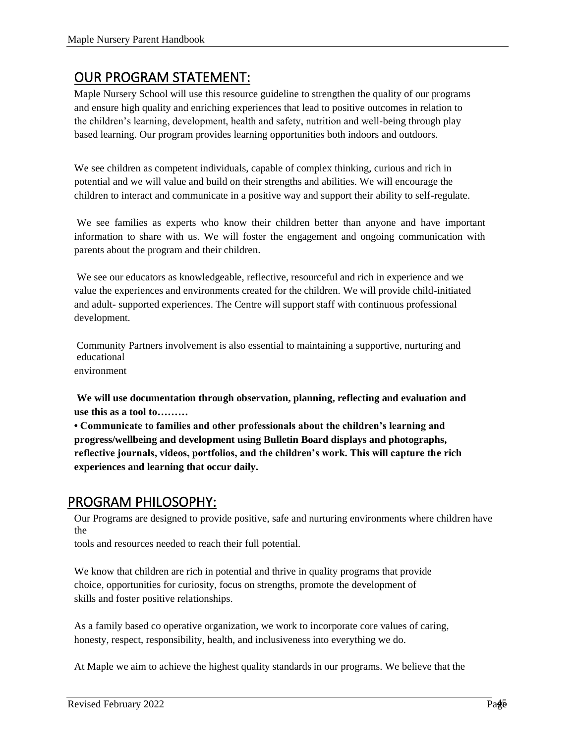## <span id="page-44-0"></span>OUR PROGRAM STATEMENT:

Maple Nursery School will use this resource guideline to strengthen the quality of our programs and ensure high quality and enriching experiences that lead to positive outcomes in relation to the children's learning, development, health and safety, nutrition and well-being through play based learning. Our program provides learning opportunities both indoors and outdoors.

We see children as competent individuals, capable of complex thinking, curious and rich in potential and we will value and build on their strengths and abilities. We will encourage the children to interact and communicate in a positive way and support their ability to self-regulate.

We see families as experts who know their children better than anyone and have important information to share with us. We will foster the engagement and ongoing communication with parents about the program and their children.

We see our educators as knowledgeable, reflective, resourceful and rich in experience and we value the experiences and environments created for the children. We will provide child-initiated and adult- supported experiences. The Centre will support staff with continuous professional development.

Community Partners involvement is also essential to maintaining a supportive, nurturing and educational environment

**We will use documentation through observation, planning, reflecting and evaluation and** 

**use this as a tool to……… • Communicate to families and other professionals about the children's learning and progress/wellbeing and development using Bulletin Board displays and photographs, reflective journals, videos, portfolios, and the children's work. This will capture the rich** 

# **experiences and learning that occur daily.**

## <span id="page-44-1"></span>PROGRAM PHILOSOPHY:

Our Programs are designed to provide positive, safe and nurturing environments where children have the

tools and resources needed to reach their full potential.

We know that children are rich in potential and thrive in quality programs that provide choice, opportunities for curiosity, focus on strengths, promote the development of skills and foster positive relationships.

As a family based co operative organization, we work to incorporate core values of caring, honesty, respect, responsibility, health, and inclusiveness into everything we do.

At Maple we aim to achieve the highest quality standards in our programs. We believe that the